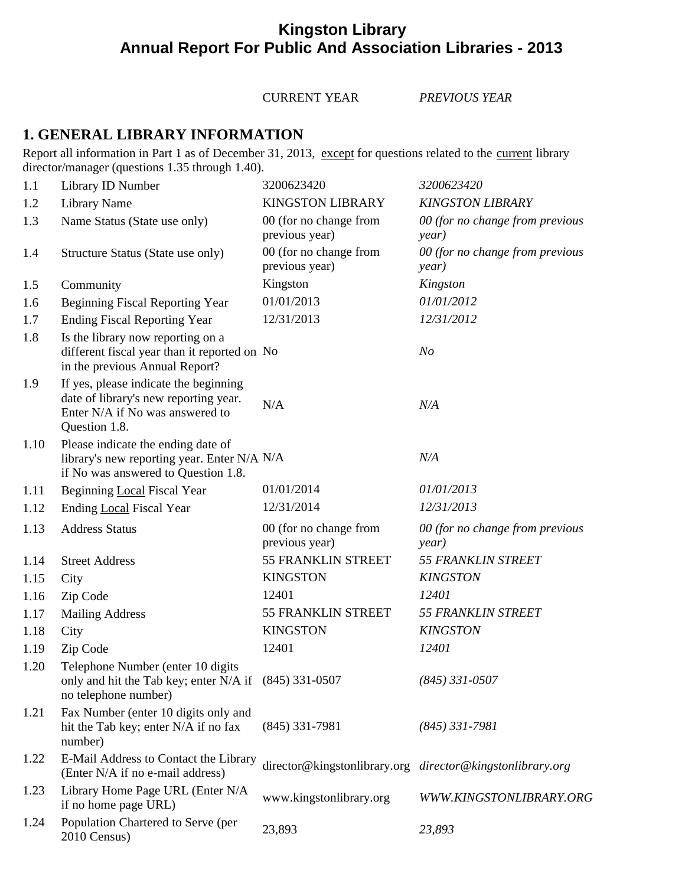# **Kingston Library Annual Report For Public And Association Libraries - 2013**

CURRENT YEAR *PREVIOUS YEAR*

### **1. GENERAL LIBRARY INFORMATION**

Report all information in Part 1 as of December 31, 2013, except for questions related to the current library director/manager (questions 1.35 through 1.40).

| 1.1  | Library ID Number                                                                                                                  | 3200623420                               | 3200623420                                                |
|------|------------------------------------------------------------------------------------------------------------------------------------|------------------------------------------|-----------------------------------------------------------|
| 1.2  | Library Name                                                                                                                       | <b>KINGSTON LIBRARY</b>                  | <b>KINGSTON LIBRARY</b>                                   |
| 1.3  | Name Status (State use only)                                                                                                       | 00 (for no change from<br>previous year) | 00 (for no change from previous<br>year)                  |
| 1.4  | Structure Status (State use only)                                                                                                  | 00 (for no change from<br>previous year) | 00 (for no change from previous<br>year)                  |
| 1.5  | Community                                                                                                                          | Kingston                                 | Kingston                                                  |
| 1.6  | <b>Beginning Fiscal Reporting Year</b>                                                                                             | 01/01/2013                               | 01/01/2012                                                |
| 1.7  | <b>Ending Fiscal Reporting Year</b>                                                                                                | 12/31/2013                               | 12/31/2012                                                |
| 1.8  | Is the library now reporting on a<br>different fiscal year than it reported on No<br>in the previous Annual Report?                |                                          | N <sub>o</sub>                                            |
| 1.9  | If yes, please indicate the beginning<br>date of library's new reporting year.<br>Enter N/A if No was answered to<br>Question 1.8. | N/A                                      | N/A                                                       |
| 1.10 | Please indicate the ending date of<br>library's new reporting year. Enter N/A N/A<br>if No was answered to Question 1.8.           |                                          | N/A                                                       |
| 1.11 | Beginning Local Fiscal Year                                                                                                        | 01/01/2014                               | 01/01/2013                                                |
| 1.12 | Ending Local Fiscal Year                                                                                                           | 12/31/2014                               | 12/31/2013                                                |
| 1.13 | <b>Address Status</b>                                                                                                              | 00 (for no change from<br>previous year) | 00 (for no change from previous<br>year)                  |
| 1.14 | <b>Street Address</b>                                                                                                              | 55 FRANKLIN STREET                       | <b>55 FRANKLIN STREET</b>                                 |
| 1.15 | City                                                                                                                               | <b>KINGSTON</b>                          | <b>KINGSTON</b>                                           |
| 1.16 | Zip Code                                                                                                                           | 12401                                    | 12401                                                     |
| 1.17 | <b>Mailing Address</b>                                                                                                             | 55 FRANKLIN STREET                       | <b>55 FRANKLIN STREET</b>                                 |
| 1.18 | City                                                                                                                               | <b>KINGSTON</b>                          | <b>KINGSTON</b>                                           |
| 1.19 | Zip Code                                                                                                                           | 12401                                    | 12401                                                     |
| 1.20 | Telephone Number (enter 10 digits<br>only and hit the Tab key; enter N/A if (845) 331-0507<br>no telephone number)                 |                                          | $(845)$ 331-0507                                          |
| 1.21 | Fax Number (enter 10 digits only and<br>hit the Tab key; enter N/A if no fax<br>number)                                            | $(845)$ 331-7981                         | $(845)$ 331-7981                                          |
| 1.22 | E-Mail Address to Contact the Library<br>(Enter N/A if no e-mail address)                                                          |                                          | director@kingstonlibrary.org director@kingstonlibrary.org |
| 1.23 | Library Home Page URL (Enter N/A<br>if no home page URL)                                                                           | www.kingstonlibrary.org                  | WWW.KINGSTONLIBRARY.ORG                                   |
| 1.24 | Population Chartered to Serve (per<br>2010 Census)                                                                                 | 23,893                                   | 23,893                                                    |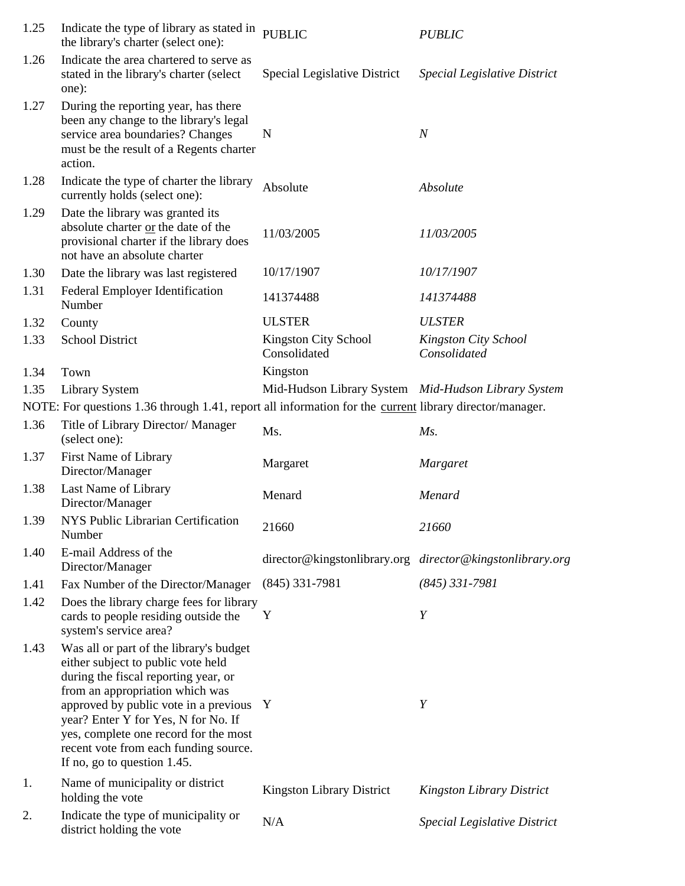| 1.25 | Indicate the type of library as stated in<br>the library's charter (select one):                                                                                                                                                                                                                                                                          | <b>PUBLIC</b>                                       | <b>PUBLIC</b>                        |
|------|-----------------------------------------------------------------------------------------------------------------------------------------------------------------------------------------------------------------------------------------------------------------------------------------------------------------------------------------------------------|-----------------------------------------------------|--------------------------------------|
| 1.26 | Indicate the area chartered to serve as<br>stated in the library's charter (select<br>one):                                                                                                                                                                                                                                                               | Special Legislative District                        | Special Legislative District         |
| 1.27 | During the reporting year, has there<br>been any change to the library's legal<br>service area boundaries? Changes<br>must be the result of a Regents charter<br>action.                                                                                                                                                                                  | N                                                   | $\boldsymbol{N}$                     |
| 1.28 | Indicate the type of charter the library<br>currently holds (select one):                                                                                                                                                                                                                                                                                 | Absolute                                            | Absolute                             |
| 1.29 | Date the library was granted its<br>absolute charter or the date of the<br>provisional charter if the library does<br>not have an absolute charter                                                                                                                                                                                                        | 11/03/2005                                          | 11/03/2005                           |
| 1.30 | Date the library was last registered                                                                                                                                                                                                                                                                                                                      | 10/17/1907                                          | 10/17/1907                           |
| 1.31 | <b>Federal Employer Identification</b><br>Number                                                                                                                                                                                                                                                                                                          | 141374488                                           | 141374488                            |
| 1.32 | County                                                                                                                                                                                                                                                                                                                                                    | <b>ULSTER</b>                                       | <b>ULSTER</b>                        |
| 1.33 | <b>School District</b>                                                                                                                                                                                                                                                                                                                                    | Kingston City School<br>Consolidated                | Kingston City School<br>Consolidated |
| 1.34 | Town                                                                                                                                                                                                                                                                                                                                                      | Kingston                                            |                                      |
| 1.35 | <b>Library System</b>                                                                                                                                                                                                                                                                                                                                     | Mid-Hudson Library System Mid-Hudson Library System |                                      |
|      | NOTE: For questions 1.36 through 1.41, report all information for the current library director/manager.                                                                                                                                                                                                                                                   |                                                     |                                      |
| 1.36 | Title of Library Director/ Manager<br>(select one):                                                                                                                                                                                                                                                                                                       | Ms.                                                 | $Ms$ .                               |
| 1.37 | First Name of Library<br>Director/Manager                                                                                                                                                                                                                                                                                                                 | Margaret                                            | <b>Margaret</b>                      |
| 1.38 | Last Name of Library<br>Director/Manager                                                                                                                                                                                                                                                                                                                  | Menard                                              | Menard                               |
| 1.39 | NYS Public Librarian Certification<br>Number                                                                                                                                                                                                                                                                                                              | 21660                                               | 21660                                |
| 1.40 | E-mail Address of the<br>Director/Manager                                                                                                                                                                                                                                                                                                                 | director@kingstonlibrary.org                        | director@kingstonlibrary.org         |
| 1.41 | Fax Number of the Director/Manager                                                                                                                                                                                                                                                                                                                        | $(845)$ 331-7981                                    | $(845)$ 331-7981                     |
| 1.42 | Does the library charge fees for library<br>cards to people residing outside the<br>system's service area?                                                                                                                                                                                                                                                | Y                                                   | Y                                    |
| 1.43 | Was all or part of the library's budget<br>either subject to public vote held<br>during the fiscal reporting year, or<br>from an appropriation which was<br>approved by public vote in a previous<br>year? Enter Y for Yes, N for No. If<br>yes, complete one record for the most<br>recent vote from each funding source.<br>If no, go to question 1.45. | Y                                                   | Y                                    |
| 1.   | Name of municipality or district<br>holding the vote                                                                                                                                                                                                                                                                                                      | Kingston Library District                           | <b>Kingston Library District</b>     |
| 2.   | Indicate the type of municipality or<br>district holding the vote                                                                                                                                                                                                                                                                                         | N/A                                                 | Special Legislative District         |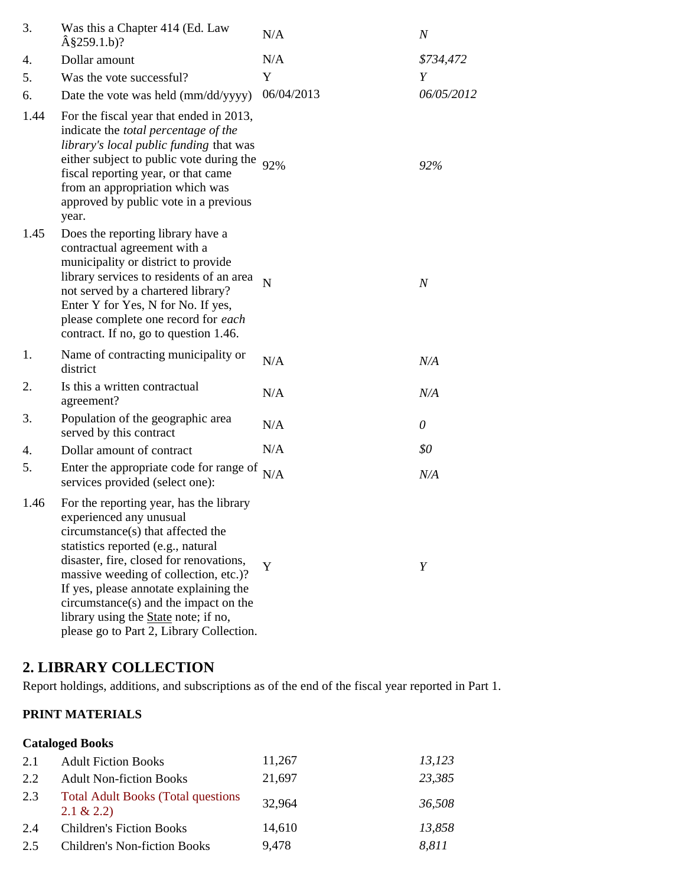| 3.   | Was this a Chapter 414 (Ed. Law<br>$\hat{A}$ §259.1.b)?                                                                                                                                                                                                                                                                                                                                                           | N/A        | $\boldsymbol{N}$ |
|------|-------------------------------------------------------------------------------------------------------------------------------------------------------------------------------------------------------------------------------------------------------------------------------------------------------------------------------------------------------------------------------------------------------------------|------------|------------------|
| 4.   | Dollar amount                                                                                                                                                                                                                                                                                                                                                                                                     | N/A        | \$734,472        |
| 5.   | Was the vote successful?                                                                                                                                                                                                                                                                                                                                                                                          | Y          | Y                |
| 6.   | Date the vote was held (mm/dd/yyyy)                                                                                                                                                                                                                                                                                                                                                                               | 06/04/2013 | 06/05/2012       |
| 1.44 | For the fiscal year that ended in 2013,<br>indicate the <i>total percentage of the</i><br>library's local public funding that was<br>either subject to public vote during the $92\%$<br>fiscal reporting year, or that came<br>from an appropriation which was<br>approved by public vote in a previous<br>year.                                                                                                  |            | 92%              |
| 1.45 | Does the reporting library have a<br>contractual agreement with a<br>municipality or district to provide<br>library services to residents of an area<br>not served by a chartered library?<br>Enter Y for Yes, N for No. If yes,<br>please complete one record for each<br>contract. If no, go to question 1.46.                                                                                                  | N          | $\boldsymbol{N}$ |
| 1.   | Name of contracting municipality or<br>district                                                                                                                                                                                                                                                                                                                                                                   | N/A        | N/A              |
| 2.   | Is this a written contractual<br>agreement?                                                                                                                                                                                                                                                                                                                                                                       | N/A        | N/A              |
| 3.   | Population of the geographic area<br>served by this contract                                                                                                                                                                                                                                                                                                                                                      | N/A        | 0                |
| 4.   | Dollar amount of contract                                                                                                                                                                                                                                                                                                                                                                                         | N/A        | \$0              |
| 5.   | Enter the appropriate code for range of<br>services provided (select one):                                                                                                                                                                                                                                                                                                                                        | N/A        | N/A              |
| 1.46 | For the reporting year, has the library<br>experienced any unusual<br>circumstance(s) that affected the<br>statistics reported (e.g., natural<br>disaster, fire, closed for renovations,<br>massive weeding of collection, etc.)?<br>If yes, please annotate explaining the<br>$circumstance(s)$ and the impact on the<br>library using the <b>State</b> note; if no,<br>please go to Part 2, Library Collection. | Y          | Y                |

## **2. LIBRARY COLLECTION**

Report holdings, additions, and subscriptions as of the end of the fiscal year reported in Part 1.

#### **PRINT MATERIALS**

### **Cataloged Books**

| 2.1 | <b>Adult Fiction Books</b>                                 | 11,267 | 13,123 |
|-----|------------------------------------------------------------|--------|--------|
| 2.2 | <b>Adult Non-fiction Books</b>                             | 21,697 | 23,385 |
| 2.3 | <b>Total Adult Books (Total questions)</b><br>$2.1 \& 2.2$ | 32,964 | 36,508 |
| 2.4 | <b>Children's Fiction Books</b>                            | 14,610 | 13,858 |
| 2.5 | <b>Children's Non-fiction Books</b>                        | 9,478  | 8,811  |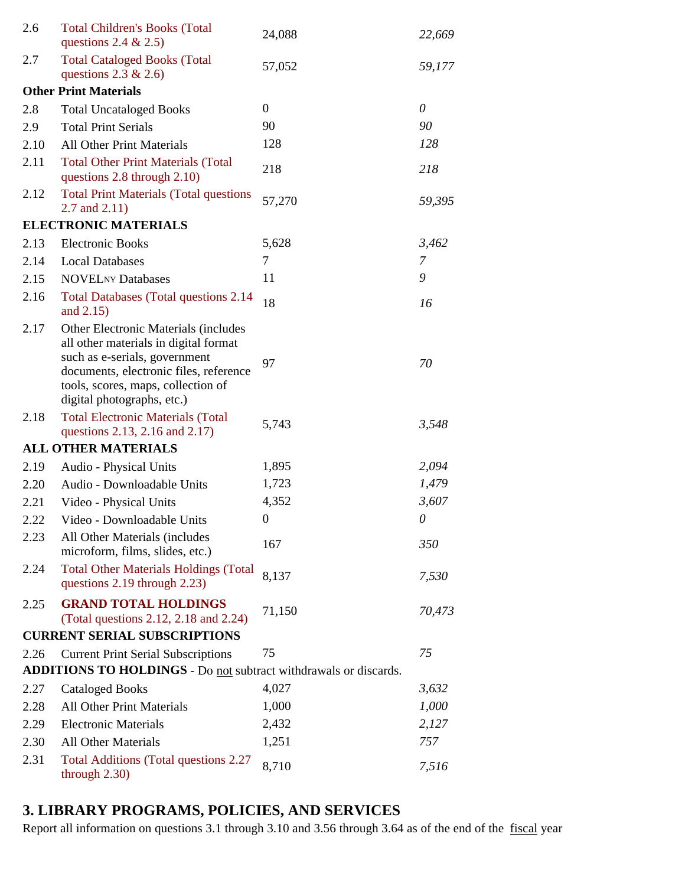| 2.6  | <b>Total Children's Books (Total</b><br>questions 2.4 $& 2.5$ )                                                                                                                                                              | 24,088           | 22,669   |
|------|------------------------------------------------------------------------------------------------------------------------------------------------------------------------------------------------------------------------------|------------------|----------|
| 2.7  | <b>Total Cataloged Books (Total</b><br>questions $2.3 \& 2.6$                                                                                                                                                                | 57,052           | 59,177   |
|      | <b>Other Print Materials</b>                                                                                                                                                                                                 |                  |          |
| 2.8  | <b>Total Uncataloged Books</b>                                                                                                                                                                                               | $\overline{0}$   | $\theta$ |
| 2.9  | <b>Total Print Serials</b>                                                                                                                                                                                                   | 90               | 90       |
| 2.10 | <b>All Other Print Materials</b>                                                                                                                                                                                             | 128              | 128      |
| 2.11 | <b>Total Other Print Materials (Total</b><br>questions 2.8 through 2.10)                                                                                                                                                     | 218              | 218      |
| 2.12 | <b>Total Print Materials (Total questions</b><br>2.7 and $2.11$ )                                                                                                                                                            | 57,270           | 59,395   |
|      | <b>ELECTRONIC MATERIALS</b>                                                                                                                                                                                                  |                  |          |
| 2.13 | <b>Electronic Books</b>                                                                                                                                                                                                      | 5,628            | 3,462    |
| 2.14 | <b>Local Databases</b>                                                                                                                                                                                                       | 7                | 7        |
| 2.15 | <b>NOVELNY Databases</b>                                                                                                                                                                                                     | 11               | 9        |
| 2.16 | <b>Total Databases (Total questions 2.14)</b><br>and 2.15)                                                                                                                                                                   | 18               | 16       |
| 2.17 | Other Electronic Materials (includes<br>all other materials in digital format<br>such as e-serials, government<br>documents, electronic files, reference<br>tools, scores, maps, collection of<br>digital photographs, etc.) | 97               | 70       |
| 2.18 | <b>Total Electronic Materials (Total</b><br>questions 2.13, 2.16 and 2.17)                                                                                                                                                   | 5,743            | 3,548    |
|      | <b>ALL OTHER MATERIALS</b>                                                                                                                                                                                                   |                  |          |
| 2.19 | Audio - Physical Units                                                                                                                                                                                                       | 1,895            | 2,094    |
| 2.20 | Audio - Downloadable Units                                                                                                                                                                                                   | 1,723            | 1,479    |
| 2.21 | Video - Physical Units                                                                                                                                                                                                       | 4,352            | 3,607    |
| 2.22 | Video - Downloadable Units                                                                                                                                                                                                   | $\boldsymbol{0}$ | $\theta$ |
| 2.23 | All Other Materials (includes<br>microform, films, slides, etc.)                                                                                                                                                             | 167              | 350      |
| 2.24 | <b>Total Other Materials Holdings (Total</b><br>questions 2.19 through 2.23)                                                                                                                                                 | 8,137            | 7,530    |
| 2.25 | <b>GRAND TOTAL HOLDINGS</b><br>(Total questions 2.12, 2.18 and 2.24)                                                                                                                                                         | 71,150           | 70,473   |
|      | <b>CURRENT SERIAL SUBSCRIPTIONS</b>                                                                                                                                                                                          |                  |          |
| 2.26 | <b>Current Print Serial Subscriptions</b>                                                                                                                                                                                    | 75               | 75       |
|      | <b>ADDITIONS TO HOLDINGS - Do not subtract withdrawals or discards.</b>                                                                                                                                                      |                  |          |
| 2.27 | <b>Cataloged Books</b>                                                                                                                                                                                                       | 4,027            | 3,632    |
| 2.28 | <b>All Other Print Materials</b>                                                                                                                                                                                             | 1,000            | 1,000    |
| 2.29 | <b>Electronic Materials</b>                                                                                                                                                                                                  | 2,432            | 2,127    |
| 2.30 | <b>All Other Materials</b>                                                                                                                                                                                                   | 1,251            | 757      |
| 2.31 | <b>Total Additions (Total questions 2.27)</b><br>through $2.30$ )                                                                                                                                                            | 8,710            | 7,516    |

# **3. LIBRARY PROGRAMS, POLICIES, AND SERVICES**

Report all information on questions 3.1 through 3.10 and 3.56 through 3.64 as of the end of the fiscal year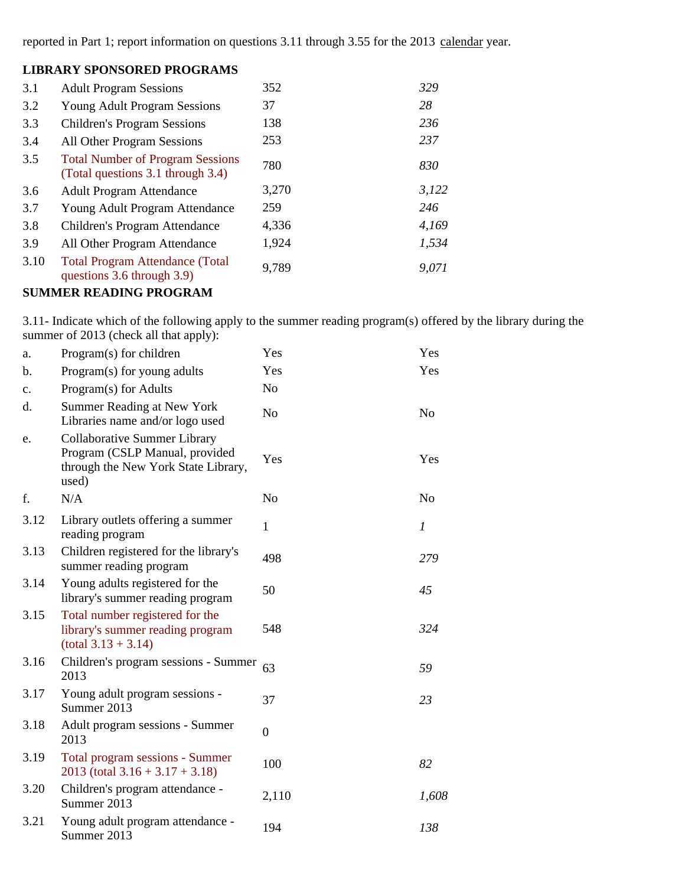reported in Part 1; report information on questions 3.11 through 3.55 for the 2013 calendar year.

#### **LIBRARY SPONSORED PROGRAMS**

| 3.1  | <b>Adult Program Sessions</b>                                                | 352   | 329   |
|------|------------------------------------------------------------------------------|-------|-------|
| 3.2  | <b>Young Adult Program Sessions</b>                                          | 37    | 28    |
| 3.3  | <b>Children's Program Sessions</b>                                           | 138   | 236   |
| 3.4  | All Other Program Sessions                                                   | 253   | 237   |
| 3.5  | <b>Total Number of Program Sessions</b><br>(Total questions 3.1 through 3.4) | 780   | 830   |
| 3.6  | <b>Adult Program Attendance</b>                                              | 3,270 | 3,122 |
| 3.7  | Young Adult Program Attendance                                               | 259   | 246   |
| 3.8  | Children's Program Attendance                                                | 4,336 | 4,169 |
| 3.9  | All Other Program Attendance                                                 | 1,924 | 1,534 |
| 3.10 | <b>Total Program Attendance (Total</b><br>questions 3.6 through 3.9)         | 9,789 | 9,071 |
|      | <b>SUMMER READING PROGRAM</b>                                                |       |       |

3.11- Indicate which of the following apply to the summer reading program(s) offered by the library during the

summer of 2013 (check all that apply):

| a.             | Program(s) for children                                                                                        | Yes              | Yes            |
|----------------|----------------------------------------------------------------------------------------------------------------|------------------|----------------|
| b.             | Program(s) for young adults                                                                                    | Yes              | Yes            |
| $\mathbf{c}$ . | Program(s) for Adults                                                                                          | N <sub>0</sub>   |                |
| d.             | <b>Summer Reading at New York</b><br>Libraries name and/or logo used                                           | N <sub>o</sub>   | N <sub>o</sub> |
| e.             | Collaborative Summer Library<br>Program (CSLP Manual, provided<br>through the New York State Library,<br>used) | Yes              | Yes            |
| f.             | N/A                                                                                                            | N <sub>o</sub>   | N <sub>o</sub> |
| 3.12           | Library outlets offering a summer<br>reading program                                                           | 1                | 1              |
| 3.13           | Children registered for the library's<br>summer reading program                                                | 498              | 279            |
| 3.14           | Young adults registered for the<br>library's summer reading program                                            | 50               | 45             |
| 3.15           | Total number registered for the<br>library's summer reading program<br>$(total 3.13 + 3.14)$                   | 548              | 324            |
| 3.16           | Children's program sessions - Summer<br>2013                                                                   | 63               | 59             |
| 3.17           | Young adult program sessions -<br>Summer 2013                                                                  | 37               | 23             |
| 3.18           | Adult program sessions - Summer<br>2013                                                                        | $\boldsymbol{0}$ |                |
| 3.19           | Total program sessions - Summer<br>$2013$ (total $3.16 + 3.17 + 3.18$ )                                        | 100              | 82             |
| 3.20           | Children's program attendance -<br>Summer 2013                                                                 | 2,110            | 1,608          |
| 3.21           | Young adult program attendance -<br>Summer 2013                                                                | 194              | 138            |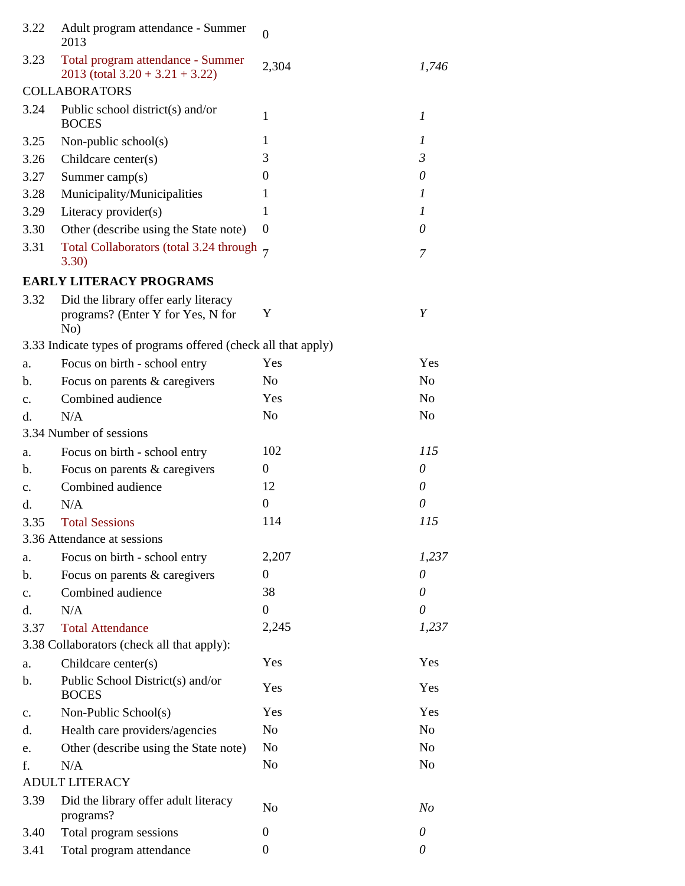| 3.22           | Adult program attendance - Summer<br>2013                                        | $\boldsymbol{0}$ |                  |
|----------------|----------------------------------------------------------------------------------|------------------|------------------|
| 3.23           | Total program attendance - Summer<br>$2013$ (total $3.20 + 3.21 + 3.22$ )        | 2,304            | 1,746            |
|                | <b>COLLABORATORS</b>                                                             |                  |                  |
| 3.24           | Public school district(s) and/or<br><b>BOCES</b>                                 | 1                | $\boldsymbol{l}$ |
| 3.25           | Non-public school(s)                                                             | 1                | 1                |
| 3.26           | Childcare center(s)                                                              | 3                | $\mathfrak{Z}$   |
| 3.27           | Summer camp $(s)$                                                                | $\boldsymbol{0}$ | 0                |
| 3.28           | Municipality/Municipalities                                                      | 1                | 1                |
| 3.29           | Literacy provider(s)                                                             | 1                | $\boldsymbol{I}$ |
| 3.30           | Other (describe using the State note)                                            | $\theta$         | $\theta$         |
| 3.31           | Total Collaborators (total 3.24 through 7<br>3.30)                               |                  | 7                |
|                | <b>EARLY LITERACY PROGRAMS</b>                                                   |                  |                  |
| 3.32           | Did the library offer early literacy<br>programs? (Enter Y for Yes, N for<br>No) | Y                | Y                |
|                | 3.33 Indicate types of programs offered (check all that apply)                   |                  |                  |
| a.             | Focus on birth - school entry                                                    | Yes              | Yes              |
| b.             | Focus on parents & caregivers                                                    | N <sub>0</sub>   | N <sub>o</sub>   |
| $\mathbf{c}$ . | Combined audience                                                                | Yes              | N <sub>o</sub>   |
| d.             | N/A                                                                              | N <sub>o</sub>   | N <sub>o</sub>   |
|                | 3.34 Number of sessions                                                          |                  |                  |
| a.             | Focus on birth - school entry                                                    | 102              | 115              |
| b.             | Focus on parents & caregivers                                                    | $\mathbf{0}$     | 0                |
| $\mathbf{c}$ . | Combined audience                                                                | 12               | 0                |
| d.             | N/A                                                                              | $\boldsymbol{0}$ | 0                |
| 3.35           | <b>Total Sessions</b>                                                            | 114              | 115              |
|                | 3.36 Attendance at sessions                                                      |                  |                  |
| a.             | Focus on birth - school entry                                                    | 2,207            | 1,237            |
| b.             | Focus on parents & caregivers                                                    | $\overline{0}$   | 0                |
| $\mathbf{c}$ . | Combined audience                                                                | 38               | 0                |
| d.             | N/A                                                                              | $\boldsymbol{0}$ | $\theta$         |
| 3.37           | <b>Total Attendance</b>                                                          | 2,245            | 1,237            |
|                | 3.38 Collaborators (check all that apply):                                       |                  |                  |
| a.             | Childcare center(s)                                                              | Yes              | Yes              |
| b.             | Public School District(s) and/or<br><b>BOCES</b>                                 | Yes              | Yes              |
| $\mathbf{c}$ . | Non-Public School(s)                                                             | Yes              | Yes              |
| d.             | Health care providers/agencies                                                   | N <sub>o</sub>   | N <sub>o</sub>   |
| e.             | Other (describe using the State note)                                            | N <sub>o</sub>   | N <sub>o</sub>   |
| f.             | N/A                                                                              | No               | N <sub>0</sub>   |
|                | <b>ADULT LITERACY</b>                                                            |                  |                  |
| 3.39           | Did the library offer adult literacy<br>programs?                                | N <sub>0</sub>   | N <sub>o</sub>   |
| 3.40           | Total program sessions                                                           | $\boldsymbol{0}$ | 0                |
| 3.41           | Total program attendance                                                         | $\boldsymbol{0}$ | $\theta$         |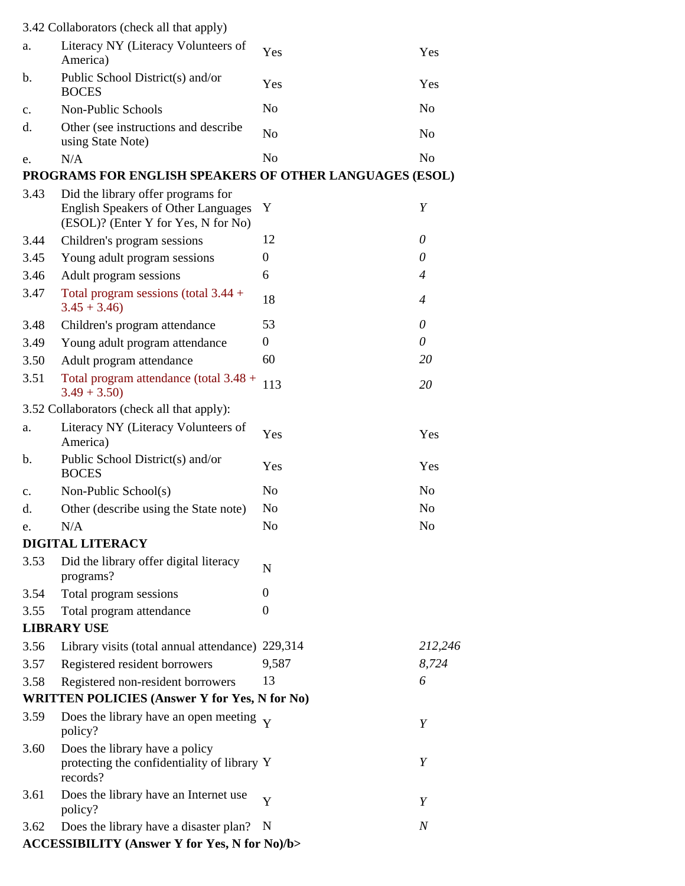|                | 3.42 Collaborators (check all that apply)                                                                               |                  |                  |
|----------------|-------------------------------------------------------------------------------------------------------------------------|------------------|------------------|
| a.             | Literacy NY (Literacy Volunteers of<br>America)                                                                         | Yes              | Yes              |
| b.             | Public School District(s) and/or<br><b>BOCES</b>                                                                        | Yes              | Yes              |
| c.             | Non-Public Schools                                                                                                      | N <sub>o</sub>   | N <sub>o</sub>   |
| d.             | Other (see instructions and describe<br>using State Note)                                                               | N <sub>o</sub>   | N <sub>o</sub>   |
| e.             | N/A                                                                                                                     | N <sub>o</sub>   | N <sub>o</sub>   |
|                | PROGRAMS FOR ENGLISH SPEAKERS OF OTHER LANGUAGES (ESOL)                                                                 |                  |                  |
| 3.43           | Did the library offer programs for<br><b>English Speakers of Other Languages</b><br>(ESOL)? (Enter Y for Yes, N for No) | Y                | Y                |
| 3.44           | Children's program sessions                                                                                             | 12               | 0                |
| 3.45           | Young adult program sessions                                                                                            | $\Omega$         | $\theta$         |
| 3.46           | Adult program sessions                                                                                                  | 6                | 4                |
| 3.47           | Total program sessions (total $3.44 +$<br>$3.45 + 3.46$                                                                 | 18               | 4                |
| 3.48           | Children's program attendance                                                                                           | 53               | $\theta$         |
| 3.49           | Young adult program attendance                                                                                          | $\boldsymbol{0}$ | 0                |
| 3.50           | Adult program attendance                                                                                                | 60               | 20               |
| 3.51           | Total program attendance (total 3.48 +<br>$3.49 + 3.50$                                                                 | 113              | 20               |
|                | 3.52 Collaborators (check all that apply):                                                                              |                  |                  |
| a.             | Literacy NY (Literacy Volunteers of<br>America)                                                                         | Yes              | Yes              |
| b.             | Public School District(s) and/or<br><b>BOCES</b>                                                                        | Yes              | Yes              |
| $\mathbf{c}$ . | Non-Public School(s)                                                                                                    | N <sub>0</sub>   | N <sub>o</sub>   |
| d.             | Other (describe using the State note)                                                                                   | No               | N <sub>0</sub>   |
| e.             | N/A                                                                                                                     | N <sub>o</sub>   | N <sub>o</sub>   |
|                | DIGITAL LITERACY                                                                                                        |                  |                  |
| 3.53           | Did the library offer digital literacy<br>programs?                                                                     | $\mathbf N$      |                  |
| 3.54           | Total program sessions                                                                                                  | $\boldsymbol{0}$ |                  |
| 3.55           | Total program attendance                                                                                                | $\boldsymbol{0}$ |                  |
|                | <b>LIBRARY USE</b>                                                                                                      |                  |                  |
| 3.56           | Library visits (total annual attendance) 229,314                                                                        |                  | 212,246          |
| 3.57           | Registered resident borrowers                                                                                           | 9,587            | 8,724            |
| 3.58           | Registered non-resident borrowers                                                                                       | 13               | 6                |
|                | <b>WRITTEN POLICIES (Answer Y for Yes, N for No)</b>                                                                    |                  |                  |
| 3.59           | Does the library have an open meeting $\overline{Y}$<br>policy?                                                         |                  | Y                |
| 3.60           | Does the library have a policy<br>protecting the confidentiality of library Y<br>records?                               |                  | Y                |
| 3.61           | Does the library have an Internet use<br>policy?                                                                        | Y                | Y                |
| 3.62           | Does the library have a disaster plan?<br><b>ACCESSIBILITY (Answer Y for Yes, N for No)/b&gt;</b>                       | N                | $\boldsymbol{N}$ |
|                |                                                                                                                         |                  |                  |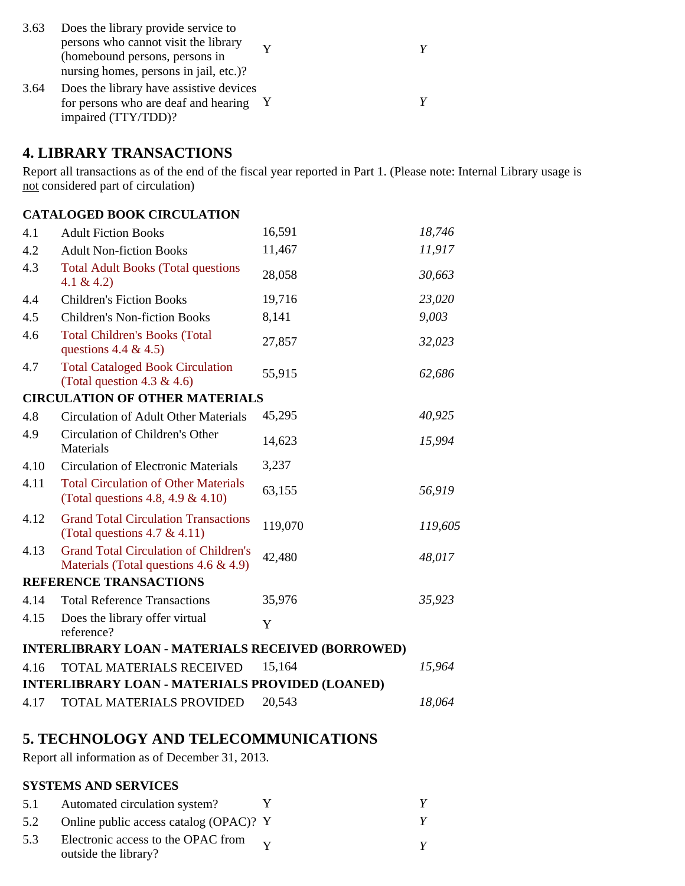| 3.63 | Does the library provide service to     |  |  |
|------|-----------------------------------------|--|--|
|      | persons who cannot visit the library    |  |  |
|      | (homebound persons, persons in          |  |  |
|      | nursing homes, persons in jail, etc.)?  |  |  |
| 3.64 | Does the library have assistive devices |  |  |
|      | for persons who are deaf and hearing Y  |  |  |
|      | impaired (TTY/TDD)?                     |  |  |

#### **4. LIBRARY TRANSACTIONS**

Report all transactions as of the end of the fiscal year reported in Part 1. (Please note: Internal Library usage is not considered part of circulation)

#### **CATALOGED BOOK CIRCULATION**

| 4.1  | <b>Adult Fiction Books</b>                                                                | 16,591  | 18,746  |
|------|-------------------------------------------------------------------------------------------|---------|---------|
| 4.2  | <b>Adult Non-fiction Books</b>                                                            | 11,467  | 11,917  |
| 4.3  | <b>Total Adult Books (Total questions</b><br>4.1 & 4.2)                                   | 28,058  | 30,663  |
| 4.4  | <b>Children's Fiction Books</b>                                                           | 19,716  | 23,020  |
| 4.5  | <b>Children's Non-fiction Books</b>                                                       | 8,141   | 9,003   |
| 4.6  | <b>Total Children's Books (Total</b><br>questions 4.4 & 4.5)                              | 27,857  | 32,023  |
| 4.7  | <b>Total Cataloged Book Circulation</b><br>(Total question 4.3 & 4.6)                     | 55,915  | 62,686  |
|      | <b>CIRCULATION OF OTHER MATERIALS</b>                                                     |         |         |
| 4.8  | <b>Circulation of Adult Other Materials</b>                                               | 45,295  | 40,925  |
| 4.9  | Circulation of Children's Other<br>Materials                                              | 14,623  | 15,994  |
| 4.10 | <b>Circulation of Electronic Materials</b>                                                | 3,237   |         |
| 4.11 | <b>Total Circulation of Other Materials</b><br>(Total questions 4.8, 4.9 & 4.10)          | 63,155  | 56,919  |
| 4.12 | <b>Grand Total Circulation Transactions</b><br>(Total questions $4.7 \& 4.11$ )           | 119,070 | 119,605 |
| 4.13 | <b>Grand Total Circulation of Children's</b><br>Materials (Total questions $4.6 \& 4.9$ ) | 42,480  | 48,017  |
|      | <b>REFERENCE TRANSACTIONS</b>                                                             |         |         |
| 4.14 | <b>Total Reference Transactions</b>                                                       | 35,976  | 35,923  |
| 4.15 | Does the library offer virtual<br>reference?                                              | Y       |         |
|      | <b>INTERLIBRARY LOAN - MATERIALS RECEIVED (BORROWED)</b>                                  |         |         |
| 4.16 | <b>TOTAL MATERIALS RECEIVED</b>                                                           | 15,164  | 15,964  |
|      | <b>INTERLIBRARY LOAN - MATERIALS PROVIDED (LOANED)</b>                                    |         |         |
| 4.17 | TOTAL MATERIALS PROVIDED                                                                  | 20,543  | 18,064  |
|      |                                                                                           |         |         |

### **5. TECHNOLOGY AND TELECOMMUNICATIONS**

Report all information as of December 31, 2013.

#### **SYSTEMS AND SERVICES**

| 5.1 | Automated circulation system?                                         |  |
|-----|-----------------------------------------------------------------------|--|
| 5.2 | Online public access catalog (OPAC)? Y                                |  |
| 5.3 | Electronic access to the OPAC from $_{\rm V}$<br>outside the library? |  |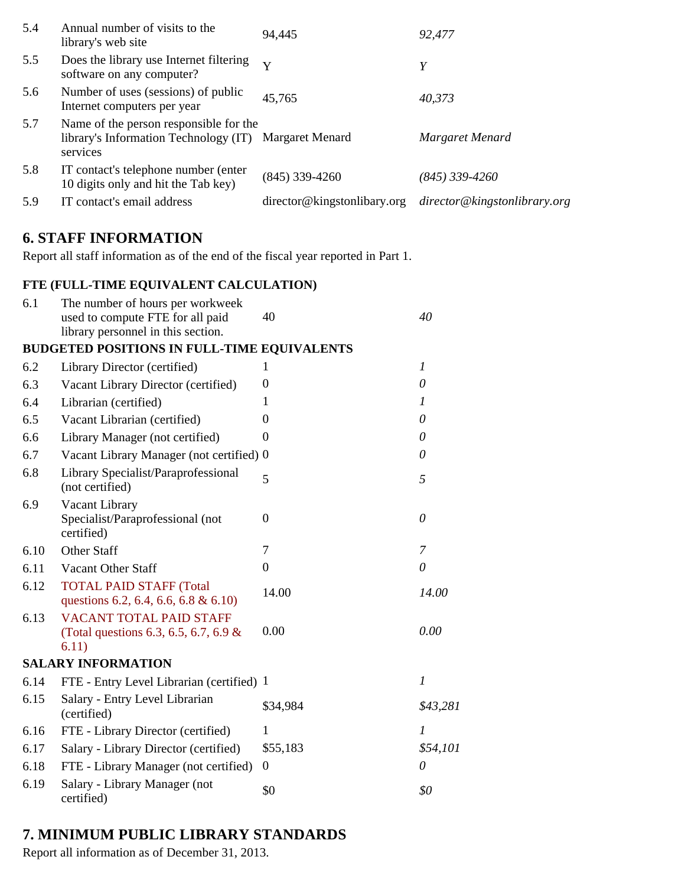| Annual number of visits to the<br>5.4<br>library's web site                                                        | 94,445                      | 92,477                       |
|--------------------------------------------------------------------------------------------------------------------|-----------------------------|------------------------------|
| 5.5<br>Does the library use Internet filtering<br>software on any computer?                                        | $\mathbf{v}$                | Y                            |
| 5.6<br>Number of uses (sessions) of public<br>Internet computers per year                                          | 45,765                      | 40,373                       |
| 5.7<br>Name of the person responsible for the<br>library's Information Technology (IT) Margaret Menard<br>services |                             | Margaret Menard              |
| 5.8<br>IT contact's telephone number (enter)<br>10 digits only and hit the Tab key)                                | $(845)$ 339-4260            | (845) 339-4260               |
| 5.9<br>IT contact's email address                                                                                  | director@kingstonlibary.org | director@kingstonlibrary.org |

## **6. STAFF INFORMATION**

Report all staff information as of the end of the fiscal year reported in Part 1.

### **FTE (FULL-TIME EQUIVALENT CALCULATION)**

| 6.1  | The number of hours per workweek                                                 | 40       | 40               |
|------|----------------------------------------------------------------------------------|----------|------------------|
|      | used to compute FTE for all paid<br>library personnel in this section.           |          |                  |
|      | <b>BUDGETED POSITIONS IN FULL-TIME EQUIVALENTS</b>                               |          |                  |
| 6.2  | Library Director (certified)                                                     | 1        | $\boldsymbol{l}$ |
| 6.3  | Vacant Library Director (certified)                                              | $\theta$ | $\theta$         |
| 6.4  | Librarian (certified)                                                            | 1        | 1                |
| 6.5  | Vacant Librarian (certified)                                                     | $\theta$ | $\theta$         |
| 6.6  | Library Manager (not certified)                                                  | $\theta$ | $\theta$         |
| 6.7  | Vacant Library Manager (not certified) 0                                         |          | 0                |
| 6.8  | Library Specialist/Paraprofessional<br>(not certified)                           | 5        | 5                |
| 6.9  | Vacant Library<br>Specialist/Paraprofessional (not<br>certified)                 | $\Omega$ | $\theta$         |
| 6.10 | <b>Other Staff</b>                                                               | 7        | 7                |
| 6.11 | Vacant Other Staff                                                               | $\theta$ | $\theta$         |
| 6.12 | <b>TOTAL PAID STAFF (Total</b><br>questions 6.2, 6.4, 6.6, 6.8 & 6.10)           | 14.00    | 14.00            |
| 6.13 | <b>VACANT TOTAL PAID STAFF</b><br>(Total questions 6.3, 6.5, 6.7, 6.9 &<br>6.11) | 0.00     | 0.00             |
|      | <b>SALARY INFORMATION</b>                                                        |          |                  |
| 6.14 | FTE - Entry Level Librarian (certified) 1                                        |          | $\boldsymbol{l}$ |
| 6.15 | Salary - Entry Level Librarian<br>(certified)                                    | \$34,984 | \$43,281         |
| 6.16 | FTE - Library Director (certified)                                               | 1        | $\boldsymbol{l}$ |
| 6.17 | Salary - Library Director (certified)                                            | \$55,183 | \$54,101         |
| 6.18 | FTE - Library Manager (not certified)                                            | 0        | 0                |
| 6.19 | Salary - Library Manager (not<br>certified)                                      | \$0      | \$0              |

## **7. MINIMUM PUBLIC LIBRARY STANDARDS**

Report all information as of December 31, 2013.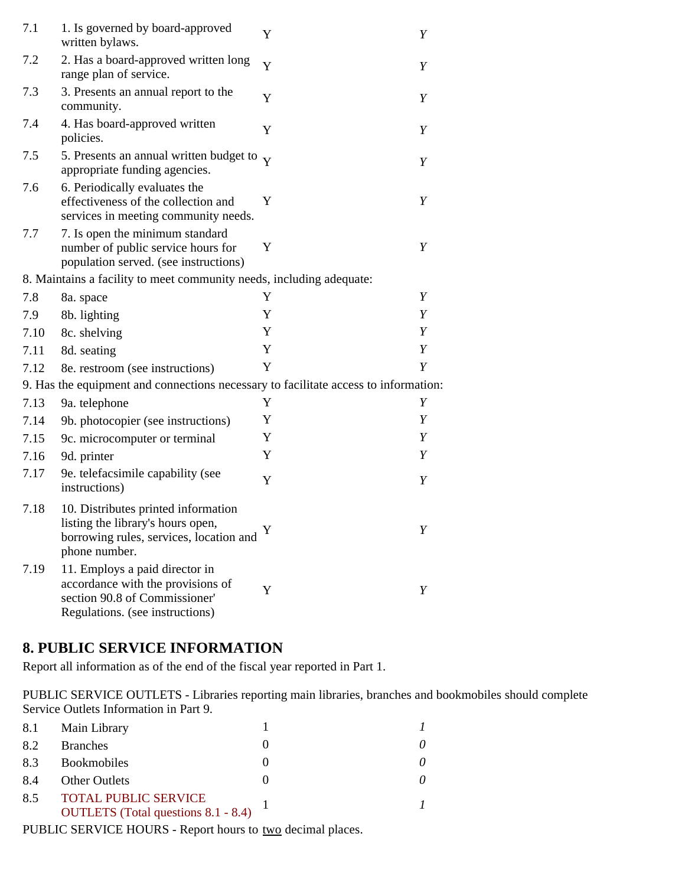| 7.1  | 1. Is governed by board-approved<br>written bylaws.                                                                                     | Y | Y |
|------|-----------------------------------------------------------------------------------------------------------------------------------------|---|---|
| 7.2  | 2. Has a board-approved written long<br>range plan of service.                                                                          | Y | Y |
| 7.3  | 3. Presents an annual report to the<br>community.                                                                                       | Y | Y |
| 7.4  | 4. Has board-approved written<br>policies.                                                                                              | Y | Y |
| 7.5  | 5. Presents an annual written budget to $\overline{Y}$<br>appropriate funding agencies.                                                 |   | Y |
| 7.6  | 6. Periodically evaluates the<br>effectiveness of the collection and<br>services in meeting community needs.                            | Y | Y |
| 7.7  | 7. Is open the minimum standard<br>number of public service hours for<br>population served. (see instructions)                          | Y | Y |
|      | 8. Maintains a facility to meet community needs, including adequate:                                                                    |   |   |
| 7.8  | 8a. space                                                                                                                               | Y | Y |
| 7.9  | 8b. lighting                                                                                                                            | Y | Y |
| 7.10 | 8c. shelving                                                                                                                            | Y | Y |
| 7.11 | 8d. seating                                                                                                                             | Y | Y |
| 7.12 | 8e. restroom (see instructions)                                                                                                         | Y | Y |
|      | 9. Has the equipment and connections necessary to facilitate access to information:                                                     |   |   |
| 7.13 | 9a. telephone                                                                                                                           | Y | Y |
| 7.14 | 9b. photocopier (see instructions)                                                                                                      | Y | Y |
| 7.15 | 9c. microcomputer or terminal                                                                                                           | Y | Y |
| 7.16 | 9d. printer                                                                                                                             | Y | Y |
| 7.17 | 9e. telefacsimile capability (see<br>instructions)                                                                                      | Y | Y |
| 7.18 | 10. Distributes printed information<br>listing the library's hours open,<br>borrowing rules, services, location and<br>phone number.    | Y | Y |
| 7.19 | 11. Employs a paid director in<br>accordance with the provisions of<br>section 90.8 of Commissioner'<br>Regulations. (see instructions) | Y | Y |

## **8. PUBLIC SERVICE INFORMATION**

Report all information as of the end of the fiscal year reported in Part 1.

PUBLIC SERVICE OUTLETS - Libraries reporting main libraries, branches and bookmobiles should complete Service Outlets Information in Part 9.

| 8.1 | Main Library                                                       |  |
|-----|--------------------------------------------------------------------|--|
| 8.2 | <b>Branches</b>                                                    |  |
| 8.3 | <b>Bookmobiles</b>                                                 |  |
| 8.4 | <b>Other Outlets</b>                                               |  |
| 8.5 | <b>TOTAL PUBLIC SERVICE</b><br>OUTLETS (Total questions 8.1 - 8.4) |  |

PUBLIC SERVICE HOURS - Report hours to two decimal places.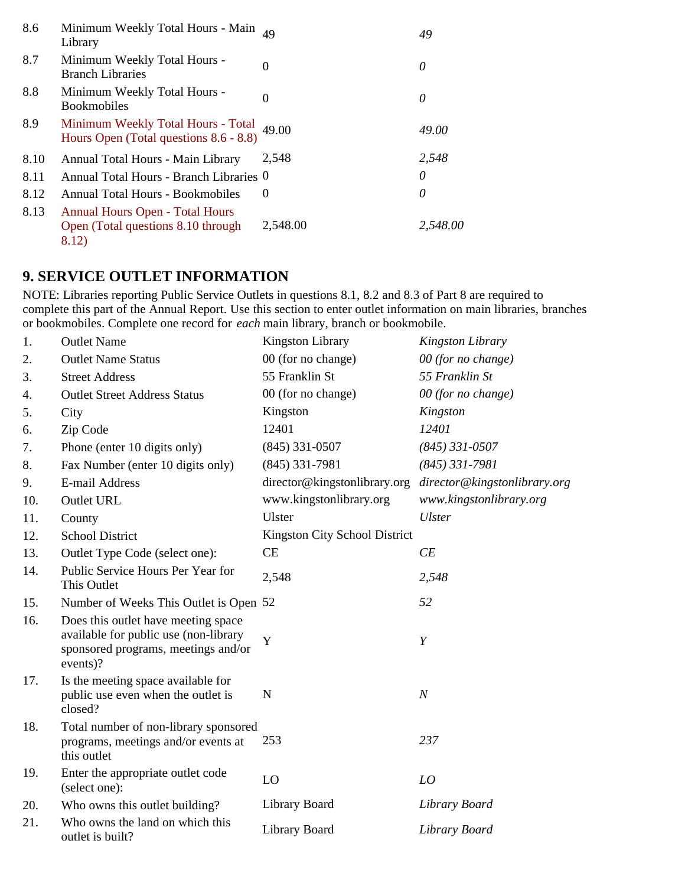| 8.6  | Minimum Weekly Total Hours - Main<br>Library                                          | 49       | 49       |
|------|---------------------------------------------------------------------------------------|----------|----------|
| 8.7  | Minimum Weekly Total Hours -<br><b>Branch Libraries</b>                               | $\theta$ | 0        |
| 8.8  | Minimum Weekly Total Hours -<br><b>Bookmobiles</b>                                    | 0        | 0        |
| 8.9  | Minimum Weekly Total Hours - Total<br>Hours Open (Total questions 8.6 - 8.8)          | 49.00    | 49.00    |
| 8.10 | Annual Total Hours - Main Library                                                     | 2.548    | 2,548    |
| 8.11 | Annual Total Hours - Branch Libraries 0                                               |          | 0        |
| 8.12 | <b>Annual Total Hours - Bookmobiles</b>                                               | $\theta$ | 0        |
| 8.13 | <b>Annual Hours Open - Total Hours</b><br>Open (Total questions 8.10 through<br>8.12) | 2,548.00 | 2.548.00 |

## **9. SERVICE OUTLET INFORMATION**

NOTE: Libraries reporting Public Service Outlets in questions 8.1, 8.2 and 8.3 of Part 8 are required to complete this part of the Annual Report. Use this section to enter outlet information on main libraries, branches or bookmobiles. Complete one record for *each* main library, branch or bookmobile.

| 1.  | <b>Outlet Name</b>                                                                                                              | <b>Kingston Library</b>       | Kingston Library             |
|-----|---------------------------------------------------------------------------------------------------------------------------------|-------------------------------|------------------------------|
| 2.  | <b>Outlet Name Status</b>                                                                                                       | 00 (for no change)            | 00 (for no change)           |
| 3.  | <b>Street Address</b>                                                                                                           | 55 Franklin St                | 55 Franklin St               |
| 4.  | <b>Outlet Street Address Status</b>                                                                                             | 00 (for no change)            | 00 (for no change)           |
| 5.  | City                                                                                                                            | Kingston                      | Kingston                     |
| 6.  | Zip Code                                                                                                                        | 12401                         | 12401                        |
| 7.  | Phone (enter 10 digits only)                                                                                                    | $(845)$ 331-0507              | $(845)$ 331-0507             |
| 8.  | Fax Number (enter 10 digits only)                                                                                               | $(845)$ 331-7981              | $(845)$ 331-7981             |
| 9.  | E-mail Address                                                                                                                  | director@kingstonlibrary.org  | director@kingstonlibrary.org |
| 10. | <b>Outlet URL</b>                                                                                                               | www.kingstonlibrary.org       | www.kingstonlibrary.org      |
| 11. | County                                                                                                                          | Ulster                        | <b>Ulster</b>                |
| 12. | <b>School District</b>                                                                                                          | Kingston City School District |                              |
| 13. | Outlet Type Code (select one):                                                                                                  | <b>CE</b>                     | CE                           |
| 14. | Public Service Hours Per Year for<br>This Outlet                                                                                | 2,548                         | 2,548                        |
| 15. | Number of Weeks This Outlet is Open 52                                                                                          |                               | 52                           |
| 16. | Does this outlet have meeting space<br>available for public use (non-library<br>sponsored programs, meetings and/or<br>events)? | Y                             | Y                            |
| 17. | Is the meeting space available for<br>public use even when the outlet is<br>closed?                                             | $\mathbf N$                   | $\boldsymbol{N}$             |
| 18. | Total number of non-library sponsored<br>programs, meetings and/or events at<br>this outlet                                     | 253                           | 237                          |
| 19. | Enter the appropriate outlet code<br>(select one):                                                                              | LO                            | LO                           |
| 20. | Who owns this outlet building?                                                                                                  | Library Board                 | Library Board                |
| 21. | Who owns the land on which this<br>outlet is built?                                                                             | Library Board                 | Library Board                |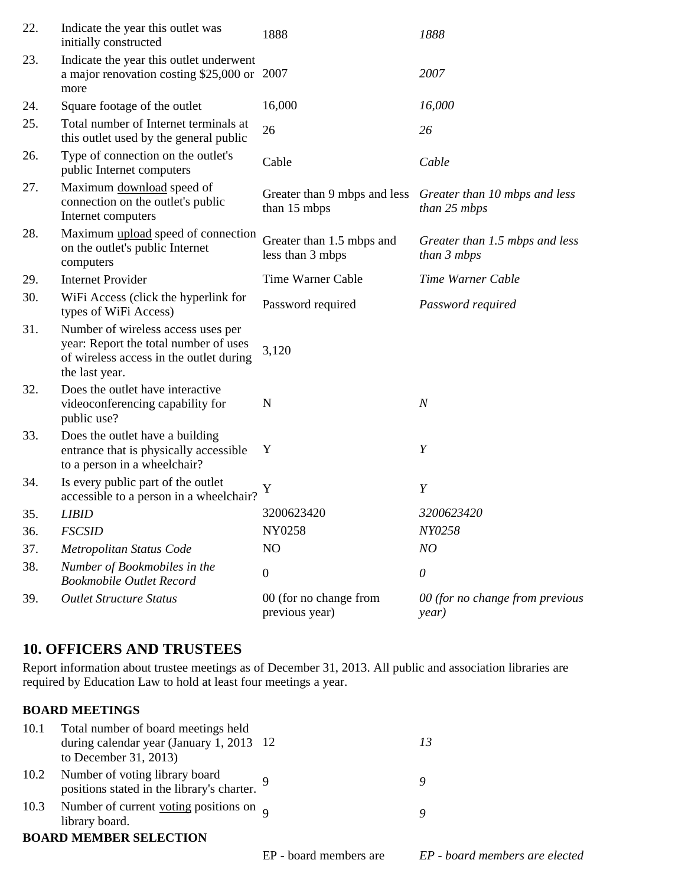| 22. | Indicate the year this outlet was<br>initially constructed                                                                               | 1888                                          | 1888                                          |
|-----|------------------------------------------------------------------------------------------------------------------------------------------|-----------------------------------------------|-----------------------------------------------|
| 23. | Indicate the year this outlet underwent<br>a major renovation costing \$25,000 or 2007<br>more                                           |                                               | 2007                                          |
| 24. | Square footage of the outlet                                                                                                             | 16,000                                        | 16,000                                        |
| 25. | Total number of Internet terminals at<br>this outlet used by the general public                                                          | 26                                            | 26                                            |
| 26. | Type of connection on the outlet's<br>public Internet computers                                                                          | Cable                                         | Cable                                         |
| 27. | Maximum download speed of<br>connection on the outlet's public<br>Internet computers                                                     | Greater than 9 mbps and less<br>than 15 mbps  | Greater than 10 mbps and less<br>than 25 mbps |
| 28. | Maximum upload speed of connection<br>on the outlet's public Internet<br>computers                                                       | Greater than 1.5 mbps and<br>less than 3 mbps | Greater than 1.5 mbps and less<br>than 3 mbps |
| 29. | <b>Internet Provider</b>                                                                                                                 | Time Warner Cable                             | Time Warner Cable                             |
| 30. | WiFi Access (click the hyperlink for<br>types of WiFi Access)                                                                            | Password required                             | Password required                             |
| 31. | Number of wireless access uses per<br>year: Report the total number of uses<br>of wireless access in the outlet during<br>the last year. | 3,120                                         |                                               |
| 32. | Does the outlet have interactive<br>videoconferencing capability for<br>public use?                                                      | N                                             | $\boldsymbol{N}$                              |
| 33. | Does the outlet have a building<br>entrance that is physically accessible<br>to a person in a wheelchair?                                | Y                                             | Y                                             |
| 34. | Is every public part of the outlet<br>accessible to a person in a wheelchair?                                                            | Y                                             | Y                                             |
| 35. | <b>LIBID</b>                                                                                                                             | 3200623420                                    | 3200623420                                    |
| 36. | <b>FSCSID</b>                                                                                                                            | NY0258                                        | NY0258                                        |
| 37. | Metropolitan Status Code                                                                                                                 | N <sub>O</sub>                                | NO                                            |
| 38. | Number of Bookmobiles in the<br><b>Bookmobile Outlet Record</b>                                                                          | $\boldsymbol{0}$                              | $\theta$                                      |
| 39. | <b>Outlet Structure Status</b>                                                                                                           | 00 (for no change from<br>previous year)      | 00 (for no change from previous<br>year)      |

### **10. OFFICERS AND TRUSTEES**

Report information about trustee meetings as of December 31, 2013. All public and association libraries are required by Education Law to hold at least four meetings a year.

#### **BOARD MEETINGS**

| 10.1 | Total number of board meetings held                                               |  |
|------|-----------------------------------------------------------------------------------|--|
|      | during calendar year (January 1, 2013 $12$                                        |  |
|      | to December 31, 2013)                                                             |  |
|      | 10.2 Number of voting library board<br>positions stated in the library's charter. |  |
|      | 10.3 Number of current <u>voting</u> positions on $\alpha$<br>library board.      |  |
|      | <b>BOARD MEMBER SELECTION</b>                                                     |  |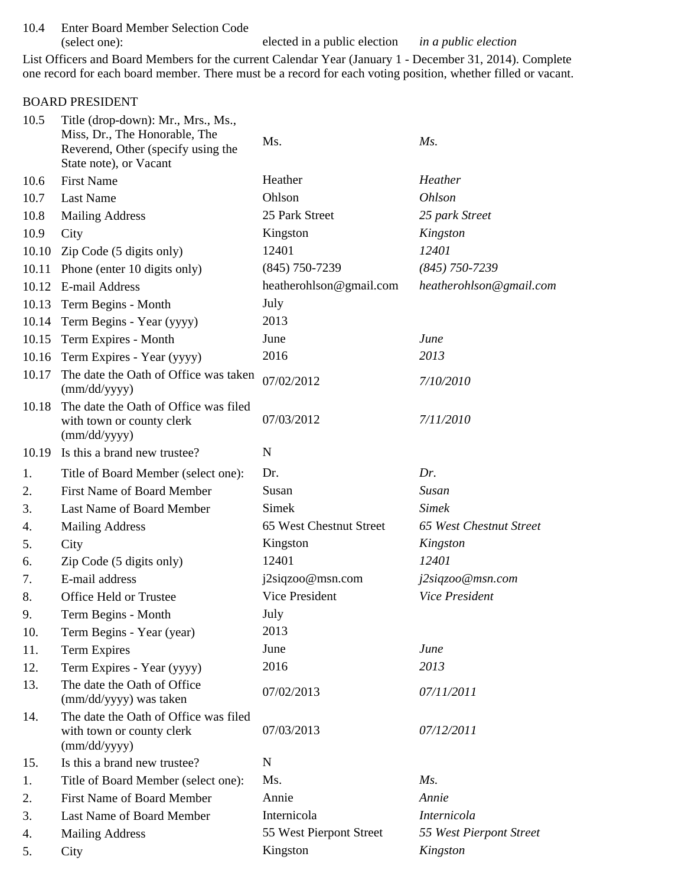10.4 Enter Board Member Selection Code (select one): elected in a public election *in a public election*

List Officers and Board Members for the current Calendar Year (January 1 - December 31, 2014). Complete one record for each board member. There must be a record for each voting position, whether filled or vacant.

#### BOARD PRESIDENT

| 10.5  | Title (drop-down): Mr., Mrs., Ms.,<br>Miss, Dr., The Honorable, The<br>Reverend, Other (specify using the | Ms.                     | $Ms$ .                         |
|-------|-----------------------------------------------------------------------------------------------------------|-------------------------|--------------------------------|
|       | State note), or Vacant                                                                                    |                         |                                |
| 10.6  | <b>First Name</b>                                                                                         | Heather                 | Heather                        |
| 10.7  | <b>Last Name</b>                                                                                          | Ohlson                  | <b>Ohlson</b>                  |
| 10.8  | <b>Mailing Address</b>                                                                                    | 25 Park Street          | 25 park Street                 |
| 10.9  | City                                                                                                      | Kingston                | Kingston                       |
| 10.10 | Zip Code (5 digits only)                                                                                  | 12401                   | 12401                          |
| 10.11 | Phone (enter 10 digits only)                                                                              | $(845)$ 750-7239        | $(845)$ 750-7239               |
|       | 10.12 E-mail Address                                                                                      | heatherohlson@gmail.com | heatherohlson@gmail.com        |
| 10.13 | Term Begins - Month                                                                                       | July                    |                                |
|       | 10.14 Term Begins - Year (yyyy)                                                                           | 2013                    |                                |
|       | 10.15 Term Expires - Month                                                                                | June                    | June                           |
|       | 10.16 Term Expires - Year (yyyy)                                                                          | 2016                    | 2013                           |
| 10.17 | The date the Oath of Office was taken<br>(mm/dd/yyyy)                                                     | 07/02/2012              | 7/10/2010                      |
| 10.18 | The date the Oath of Office was filed<br>with town or county clerk<br>(mm/dd/yyyy)                        | 07/03/2012              | 7/11/2010                      |
| 10.19 | Is this a brand new trustee?                                                                              | $\mathbf N$             |                                |
| 1.    | Title of Board Member (select one):                                                                       | Dr.                     | Dr.                            |
| 2.    | <b>First Name of Board Member</b>                                                                         | Susan                   | Susan                          |
| 3.    | Last Name of Board Member                                                                                 | Simek                   | <b>Simek</b>                   |
| 4.    | <b>Mailing Address</b>                                                                                    | 65 West Chestnut Street | <b>65 West Chestnut Street</b> |
| 5.    | City                                                                                                      | Kingston                | Kingston                       |
| 6.    | Zip Code (5 digits only)                                                                                  | 12401                   | 12401                          |
| 7.    | E-mail address                                                                                            | j2siqzoo@msn.com        | j2siqzoo@msn.com               |
| 8.    | Office Held or Trustee                                                                                    | Vice President          | <b>Vice President</b>          |
| 9.    | Term Begins - Month                                                                                       | July                    |                                |
| 10.   | Term Begins - Year (year)                                                                                 | 2013                    |                                |
| 11.   | <b>Term Expires</b>                                                                                       | June                    | June                           |
| 12.   | Term Expires - Year (yyyy)                                                                                | 2016                    | 2013                           |
| 13.   | The date the Oath of Office<br>(mm/dd/yyyy) was taken                                                     | 07/02/2013              | 07/11/2011                     |
| 14.   | The date the Oath of Office was filed<br>with town or county clerk<br>(mm/dd/yyyy)                        | 07/03/2013              | 07/12/2011                     |
| 15.   | Is this a brand new trustee?                                                                              | N                       |                                |
| 1.    | Title of Board Member (select one):                                                                       | Ms.                     | $Ms$ .                         |
| 2.    | First Name of Board Member                                                                                | Annie                   | Annie                          |
| 3.    | Last Name of Board Member                                                                                 | Internicola             | Internicola                    |
| 4.    | <b>Mailing Address</b>                                                                                    | 55 West Pierpont Street | 55 West Pierpont Street        |
| 5.    | City                                                                                                      | Kingston                | Kingston                       |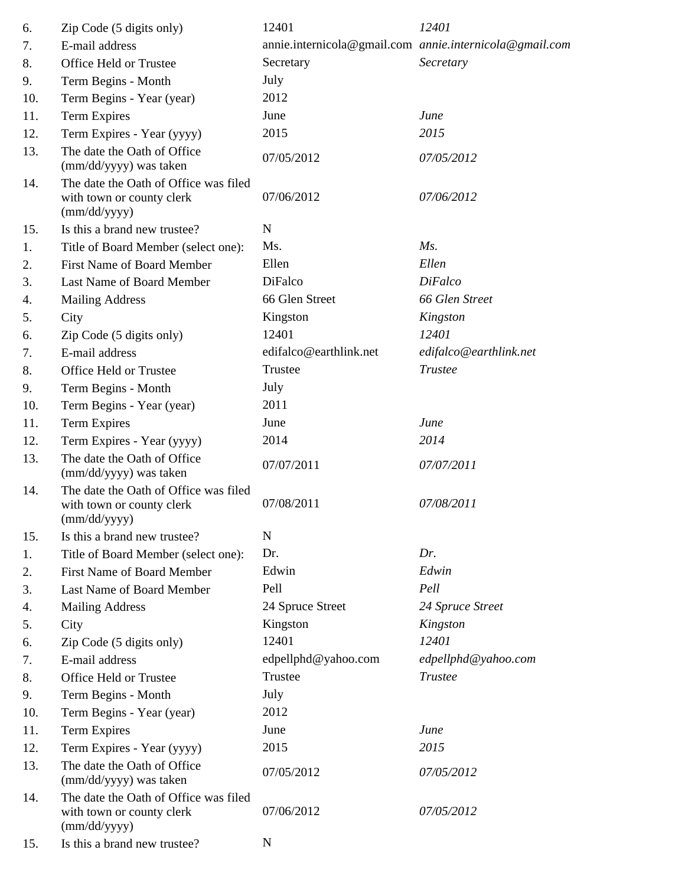| 6.  | Zip Code (5 digits only)                                                           | 12401                  | 12401                                                   |
|-----|------------------------------------------------------------------------------------|------------------------|---------------------------------------------------------|
| 7.  | E-mail address                                                                     |                        | annie.internicola@gmail.com annie.internicola@gmail.com |
| 8.  | Office Held or Trustee                                                             | Secretary              | Secretary                                               |
| 9.  | Term Begins - Month                                                                | July                   |                                                         |
| 10. | Term Begins - Year (year)                                                          | 2012                   |                                                         |
| 11. | Term Expires                                                                       | June                   | June                                                    |
| 12. | Term Expires - Year (yyyy)                                                         | 2015                   | 2015                                                    |
| 13. | The date the Oath of Office<br>(mm/dd/yyyy) was taken                              | 07/05/2012             | 07/05/2012                                              |
| 14. | The date the Oath of Office was filed<br>with town or county clerk<br>(mm/dd/yyyy) | 07/06/2012             | 07/06/2012                                              |
| 15. | Is this a brand new trustee?                                                       | $\mathbf N$            |                                                         |
| 1.  | Title of Board Member (select one):                                                | Ms.                    | Ms.                                                     |
| 2.  | <b>First Name of Board Member</b>                                                  | Ellen                  | Ellen                                                   |
| 3.  | Last Name of Board Member                                                          | DiFalco                | <b>DiFalco</b>                                          |
| 4.  | <b>Mailing Address</b>                                                             | 66 Glen Street         | 66 Glen Street                                          |
| 5.  | City                                                                               | Kingston               | Kingston                                                |
| 6.  | Zip Code (5 digits only)                                                           | 12401                  | 12401                                                   |
| 7.  | E-mail address                                                                     | edifalco@earthlink.net | edifalco@earthlink.net                                  |
| 8.  | Office Held or Trustee                                                             | Trustee                | <b>Trustee</b>                                          |
| 9.  | Term Begins - Month                                                                | July                   |                                                         |
| 10. | Term Begins - Year (year)                                                          | 2011                   |                                                         |
| 11. | Term Expires                                                                       | June                   | June                                                    |
| 12. | Term Expires - Year (yyyy)                                                         | 2014                   | 2014                                                    |
| 13. | The date the Oath of Office<br>(mm/dd/yyyy) was taken                              | 07/07/2011             | 07/07/2011                                              |
| 14. | The date the Oath of Office was filed<br>with town or county clerk<br>(mm/dd/yyyy) | 07/08/2011             | 07/08/2011                                              |
| 15. | Is this a brand new trustee?                                                       | $\mathbf N$            |                                                         |
| 1.  | Title of Board Member (select one):                                                | Dr.                    | Dr.                                                     |
| 2.  | First Name of Board Member                                                         | Edwin                  | Edwin                                                   |
| 3.  | Last Name of Board Member                                                          | Pell                   | Pell                                                    |
| 4.  | <b>Mailing Address</b>                                                             | 24 Spruce Street       | 24 Spruce Street                                        |
| 5.  | City                                                                               | Kingston               | Kingston                                                |
| 6.  | Zip Code (5 digits only)                                                           | 12401                  | 12401                                                   |
| 7.  | E-mail address                                                                     | edpellphd@yahoo.com    | edpellphd@yahoo.com                                     |
| 8.  | Office Held or Trustee                                                             | Trustee                | <b>Trustee</b>                                          |
| 9.  | Term Begins - Month                                                                | July                   |                                                         |
| 10. | Term Begins - Year (year)                                                          | 2012                   |                                                         |
| 11. | Term Expires                                                                       | June                   | June                                                    |
| 12. | Term Expires - Year (yyyy)                                                         | 2015                   | 2015                                                    |
| 13. | The date the Oath of Office<br>(mm/dd/yyyy) was taken                              | 07/05/2012             | 07/05/2012                                              |
| 14. | The date the Oath of Office was filed<br>with town or county clerk<br>(mm/dd/yyyy) | 07/06/2012             | 07/05/2012                                              |
| 15. | Is this a brand new trustee?                                                       | $\mathbf N$            |                                                         |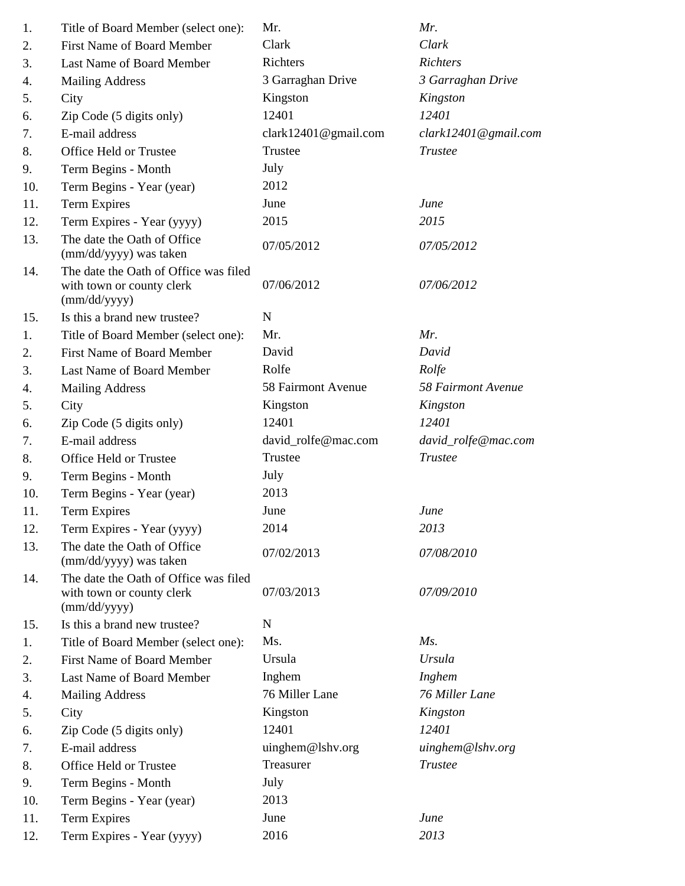| 1.  | Title of Board Member (select one):                                                | Mr.                  | Mr.                  |
|-----|------------------------------------------------------------------------------------|----------------------|----------------------|
| 2.  | <b>First Name of Board Member</b>                                                  | Clark                | Clark                |
| 3.  | Last Name of Board Member                                                          | Richters             | <b>Richters</b>      |
| 4.  | <b>Mailing Address</b>                                                             | 3 Garraghan Drive    | 3 Garraghan Drive    |
| 5.  | City                                                                               | Kingston             | Kingston             |
| 6.  | Zip Code (5 digits only)                                                           | 12401                | 12401                |
| 7.  | E-mail address                                                                     | clark12401@gmail.com | clark12401@gmail.com |
| 8.  | Office Held or Trustee                                                             | Trustee              | <b>Trustee</b>       |
| 9.  | Term Begins - Month                                                                | July                 |                      |
| 10. | Term Begins - Year (year)                                                          | 2012                 |                      |
| 11. | <b>Term Expires</b>                                                                | June                 | June                 |
| 12. | Term Expires - Year (yyyy)                                                         | 2015                 | 2015                 |
| 13. | The date the Oath of Office<br>(mm/dd/yyyy) was taken                              | 07/05/2012           | 07/05/2012           |
| 14. | The date the Oath of Office was filed<br>with town or county clerk<br>(mm/dd/yyyy) | 07/06/2012           | 07/06/2012           |
| 15. | Is this a brand new trustee?                                                       | N                    |                      |
| 1.  | Title of Board Member (select one):                                                | Mr.                  | Mr.                  |
| 2.  | <b>First Name of Board Member</b>                                                  | David                | David                |
| 3.  | Last Name of Board Member                                                          | Rolfe                | Rolfe                |
| 4.  | <b>Mailing Address</b>                                                             | 58 Fairmont Avenue   | 58 Fairmont Avenue   |
| 5.  | City                                                                               | Kingston             | Kingston             |
| 6.  | Zip Code (5 digits only)                                                           | 12401                | 12401                |
| 7.  | E-mail address                                                                     | david_rolfe@mac.com  | david_rolfe@mac.com  |
| 8.  | Office Held or Trustee                                                             | Trustee              | <b>Trustee</b>       |
| 9.  | Term Begins - Month                                                                | July                 |                      |
| 10. | Term Begins - Year (year)                                                          | 2013                 |                      |
| 11. | <b>Term Expires</b>                                                                | June                 | June                 |
| 12. | Term Expires - Year (yyyy)                                                         | 2014                 | 2013                 |
| 13. | The date the Oath of Office<br>(mm/dd/yyyy) was taken                              | 07/02/2013           | 07/08/2010           |
| 14. | The date the Oath of Office was filed<br>with town or county clerk<br>(mm/dd/yyyy) | 07/03/2013           | 07/09/2010           |
| 15. | Is this a brand new trustee?                                                       | N                    |                      |
| 1.  | Title of Board Member (select one):                                                | Ms.                  | $Ms$ .               |
| 2.  | <b>First Name of Board Member</b>                                                  | Ursula               | <b>Ursula</b>        |
| 3.  | Last Name of Board Member                                                          | Inghem               | Inghem               |
| 4.  | <b>Mailing Address</b>                                                             | 76 Miller Lane       | 76 Miller Lane       |
| 5.  | City                                                                               | Kingston             | Kingston             |
| 6.  | Zip Code (5 digits only)                                                           | 12401                | 12401                |
| 7.  | E-mail address                                                                     | uinghem@lshv.org     | uinghem@lshv.org     |
| 8.  | Office Held or Trustee                                                             | Treasurer            | <b>Trustee</b>       |
| 9.  | Term Begins - Month                                                                | July                 |                      |
| 10. | Term Begins - Year (year)                                                          | 2013                 |                      |
| 11. | <b>Term Expires</b>                                                                | June                 | June                 |
| 12. | Term Expires - Year (yyyy)                                                         | 2016                 | 2013                 |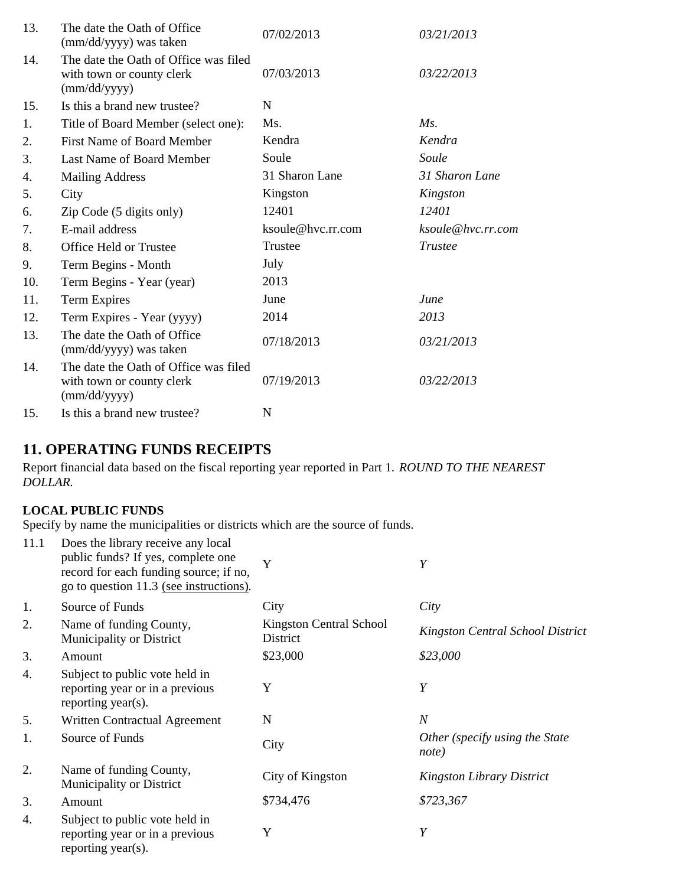| 13. | The date the Oath of Office<br>(mm/dd/yyyy) was taken                              | 07/02/2013        | 03/21/2013        |
|-----|------------------------------------------------------------------------------------|-------------------|-------------------|
| 14. | The date the Oath of Office was filed<br>with town or county clerk<br>(mm/dd/yyyy) | 07/03/2013        | 03/22/2013        |
| 15. | Is this a brand new trustee?                                                       | N                 |                   |
| 1.  | Title of Board Member (select one):                                                | Ms.               | $M_s$ .           |
| 2.  | <b>First Name of Board Member</b>                                                  | Kendra            | Kendra            |
| 3.  | Last Name of Board Member                                                          | Soule             | Soule             |
| 4.  | <b>Mailing Address</b>                                                             | 31 Sharon Lane    | 31 Sharon Lane    |
| 5.  | City                                                                               | Kingston          | Kingston          |
| 6.  | Zip Code (5 digits only)                                                           | 12401             | 12401             |
| 7.  | E-mail address                                                                     | ksoule@hvc.rr.com | ksoule@hvc.rr.com |
| 8.  | Office Held or Trustee                                                             | Trustee           | <b>Trustee</b>    |
| 9.  | Term Begins - Month                                                                | July              |                   |
| 10. | Term Begins - Year (year)                                                          | 2013              |                   |
| 11. | Term Expires                                                                       | June              | June              |
| 12. | Term Expires - Year (yyyy)                                                         | 2014              | 2013              |
| 13. | The date the Oath of Office<br>(mm/dd/yyyy) was taken                              | 07/18/2013        | 03/21/2013        |
| 14. | The date the Oath of Office was filed<br>with town or county clerk<br>(mm/dd/yyyy) | 07/19/2013        | 03/22/2013        |
| 15. | Is this a brand new trustee?                                                       | N                 |                   |

## **11. OPERATING FUNDS RECEIPTS**

Report financial data based on the fiscal reporting year reported in Part 1. *ROUND TO THE NEAREST DOLLAR.*

#### **LOCAL PUBLIC FUNDS**

Specify by name the municipalities or districts which are the source of funds.

| 11.1 | Does the library receive any local<br>public funds? If yes, complete one<br>record for each funding source; if no,<br>go to question 11.3 (see instructions). | Y                                   | Y                                       |
|------|---------------------------------------------------------------------------------------------------------------------------------------------------------------|-------------------------------------|-----------------------------------------|
| 1.   | Source of Funds                                                                                                                                               | City                                | City                                    |
| 2.   | Name of funding County,<br>Municipality or District                                                                                                           | Kingston Central School<br>District | <b>Kingston Central School District</b> |
| 3.   | Amount                                                                                                                                                        | \$23,000                            | \$23,000                                |
| 4.   | Subject to public vote held in<br>reporting year or in a previous<br>reporting year(s).                                                                       | Y                                   | Y                                       |
| 5.   | Written Contractual Agreement                                                                                                                                 | N                                   | $\boldsymbol{N}$                        |
| 1.   | Source of Funds                                                                                                                                               | City                                | Other (specify using the State<br>note) |
| 2.   | Name of funding County,<br>Municipality or District                                                                                                           | City of Kingston                    | <b>Kingston Library District</b>        |
| 3.   | Amount                                                                                                                                                        | \$734,476                           | \$723,367                               |
| 4.   | Subject to public vote held in<br>reporting year or in a previous<br>reporting year(s).                                                                       | Y                                   | Y                                       |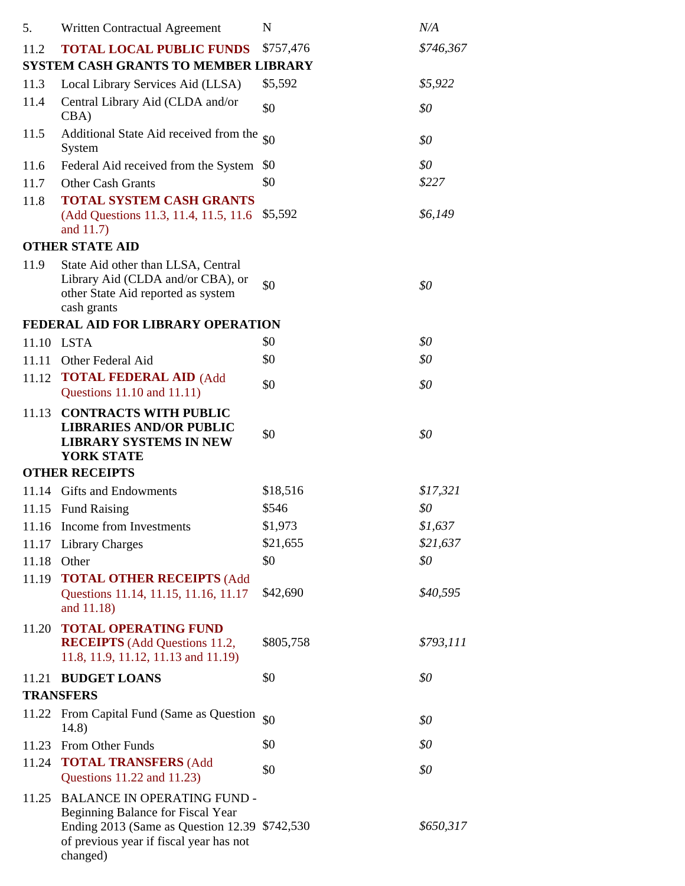| 5.    | Written Contractual Agreement                                                                                                                                                    | N         | N/A       |
|-------|----------------------------------------------------------------------------------------------------------------------------------------------------------------------------------|-----------|-----------|
| 11.2  | <b>TOTAL LOCAL PUBLIC FUNDS</b>                                                                                                                                                  | \$757,476 | \$746,367 |
|       | <b>SYSTEM CASH GRANTS TO MEMBER LIBRARY</b>                                                                                                                                      |           |           |
| 11.3  | Local Library Services Aid (LLSA)                                                                                                                                                | \$5,592   | \$5,922   |
| 11.4  | Central Library Aid (CLDA and/or<br>CBA                                                                                                                                          | \$0       | \$0       |
| 11.5  | Additional State Aid received from the<br>System                                                                                                                                 | \$0       | \$0       |
| 11.6  | Federal Aid received from the System                                                                                                                                             | \$0       | \$0       |
| 11.7  | <b>Other Cash Grants</b>                                                                                                                                                         | \$0       | \$227     |
| 11.8  | <b>TOTAL SYSTEM CASH GRANTS</b><br>(Add Questions 11.3, 11.4, 11.5, 11.6)<br>and 11.7)                                                                                           | \$5,592   | \$6,149   |
|       | <b>OTHER STATE AID</b>                                                                                                                                                           |           |           |
| 11.9  | State Aid other than LLSA, Central                                                                                                                                               |           |           |
|       | Library Aid (CLDA and/or CBA), or<br>other State Aid reported as system<br>cash grants                                                                                           | \$0       | \$0       |
|       | FEDERAL AID FOR LIBRARY OPERATION                                                                                                                                                |           |           |
| 11.10 | <b>LSTA</b>                                                                                                                                                                      | \$0       | \$0       |
| 11.11 | Other Federal Aid                                                                                                                                                                | \$0       | \$0       |
|       | 11.12 <b>TOTAL FEDERAL AID</b> (Add<br>Questions 11.10 and 11.11)                                                                                                                | \$0       | \$0       |
| 11.13 | <b>CONTRACTS WITH PUBLIC</b><br><b>LIBRARIES AND/OR PUBLIC</b><br><b>LIBRARY SYSTEMS IN NEW</b><br><b>YORK STATE</b>                                                             | \$0       | \$0       |
|       | <b>OTHER RECEIPTS</b>                                                                                                                                                            |           |           |
| 11.14 | <b>Gifts and Endowments</b>                                                                                                                                                      | \$18,516  | \$17,321  |
| 11.15 | <b>Fund Raising</b>                                                                                                                                                              | \$546     | \$0       |
| 11.16 | Income from Investments                                                                                                                                                          | \$1,973   | \$1,637   |
| 11.17 | <b>Library Charges</b>                                                                                                                                                           | \$21,655  | \$21,637  |
| 11.18 | Other                                                                                                                                                                            | \$0       | \$0       |
| 11.19 | <b>TOTAL OTHER RECEIPTS (Add</b><br>Questions 11.14, 11.15, 11.16, 11.17<br>and 11.18)                                                                                           | \$42,690  | \$40,595  |
| 11.20 | <b>TOTAL OPERATING FUND</b><br><b>RECEIPTS</b> (Add Questions 11.2,<br>11.8, 11.9, 11.12, 11.13 and 11.19)                                                                       | \$805,758 | \$793,111 |
| 11.21 | <b>BUDGET LOANS</b>                                                                                                                                                              | \$0       | \$0       |
|       | <b>TRANSFERS</b>                                                                                                                                                                 |           |           |
|       | 11.22 From Capital Fund (Same as Question<br>14.8)                                                                                                                               | \$0       | \$0       |
| 11.23 | From Other Funds                                                                                                                                                                 | \$0       | \$0       |
|       | 11.24 TOTAL TRANSFERS (Add<br>Questions 11.22 and 11.23)                                                                                                                         | \$0       | \$0       |
| 11.25 | <b>BALANCE IN OPERATING FUND -</b><br>Beginning Balance for Fiscal Year<br>Ending 2013 (Same as Question 12.39 \$742,530)<br>of previous year if fiscal year has not<br>changed) |           | \$650,317 |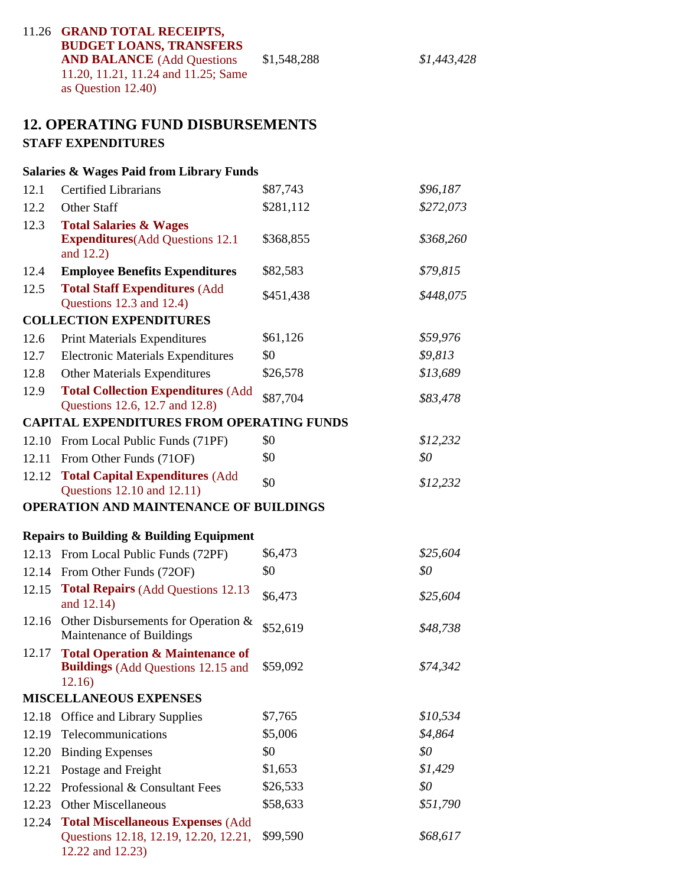| 11.26 GRAND TOTAL RECEIPTS,         |             |
|-------------------------------------|-------------|
| <b>BUDGET LOANS, TRANSFERS</b>      |             |
| <b>AND BALANCE</b> (Add Questions   | \$1,548,288 |
| 11.20, 11.21, 11.24 and 11.25; Same |             |
| as Question $12.40$ )               |             |

#### **12. OPERATING FUND DISBURSEMENTS STAFF EXPENDITURES**

# **Salaries & Wages Paid from Library Funds** 12.1 Certified Librarians \$87,743 *\$96,187* 12.2 Other Staff \$281,112 *\$272,073* 12.3 **Total Salaries & Wages Expenditures**(Add Questions 12.1 \$368,855 \$368,260 and 12.2) 12.4 \$82,583 **Employee Benefits Expenditures** *\$79,815* 12.5 **Total Staff Expenditures** (Add \$451,438 \$448,075 Questions 12.3 and 12.4) **COLLECTION EXPENDITURES** 12.6 Print Materials Expenditures \$61,126 *\$59,976* 12.7 Electronic Materials Expenditures  $\$0$   $\$9,813$ 12.8 Other Materials Expenditures \$26,578 *\$13,689* 12.9 **Total Collection Expenditures** (Add \$87,704 \$83,478 Questions 12.6, 12.7 and 12.8) **CAPITAL EXPENDITURES FROM OPERATING FUNDS** 12.10 From Local Public Funds (71PF) \$0 *\$12,232* 12.11 From Other Funds (71OF) \$0 *\$0* 12.12 **Total Capital Expenditures** (Add  $$0$   $$12,232$  Questions 12.10 and 12.11) **OPERATION AND MAINTENANCE OF BUILDINGS Repairs to Building & Building Equipment** 12.13 From Local Public Funds (72PF) \$6,473 *\$25,604* 12.14 From Other Funds (72OF) \$0 *\$0* 12.15 **Total Repairs** (Add Questions 12.13 \$6,473 *\$25,604* and 12.14) 12.16 Other Disbursements for Operation & \$52,619 *\$48,738* Maintenance of Buildings 12.17 **Total Operation & Maintenance of Buildings** (Add Questions 12.15 and \$59,092 *\$74,342* 12.16) **MISCELLANEOUS EXPENSES** 12.18 Office and Library Supplies \$7,765 *\$10,534* 12.19 Telecommunications \$5,006 *\$4,864* 12.20 Binding Expenses \$0 **\$0 \$0** 12.21 Postage and Freight \$1,653 *\$1,429* 12.22 Professional & Consultant Fees  $$26,533$   $$0$ 12.23 Other Miscellaneous \$58,633 *\$51,790*

12.24 **Total Miscellaneous Expenses** (Add \$99,590 Questions 12.18, 12.19, 12.20, 12.21, *\$68,617* 12.22 and 12.23)

**AND BALANCE** (Add Questions \$1,548,288 *\$1,443,428*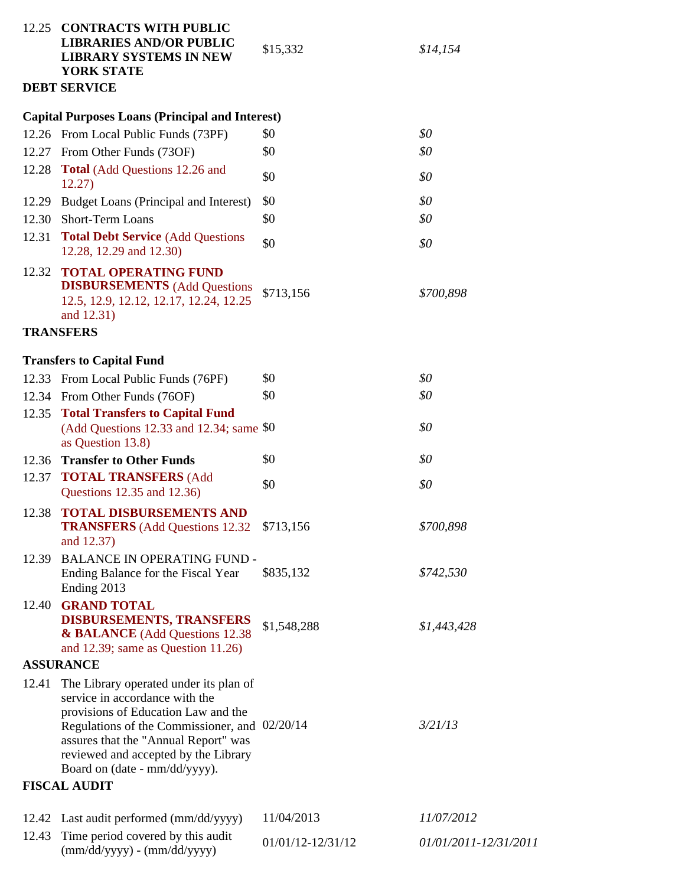|                | 12.25 CONTRACTS WITH PUBLIC<br><b>LIBRARIES AND/OR PUBLIC</b>                                                                                                                                                                                                                     | \$15,332          | \$14,154              |
|----------------|-----------------------------------------------------------------------------------------------------------------------------------------------------------------------------------------------------------------------------------------------------------------------------------|-------------------|-----------------------|
|                | <b>LIBRARY SYSTEMS IN NEW</b><br><b>YORK STATE</b>                                                                                                                                                                                                                                |                   |                       |
|                | <b>DEBT SERVICE</b>                                                                                                                                                                                                                                                               |                   |                       |
|                |                                                                                                                                                                                                                                                                                   |                   |                       |
|                | <b>Capital Purposes Loans (Principal and Interest)</b>                                                                                                                                                                                                                            | \$0               | \$0                   |
|                | 12.26 From Local Public Funds (73PF)                                                                                                                                                                                                                                              | \$0               | \$0                   |
| 12.27<br>12.28 | From Other Funds (73OF)<br><b>Total</b> (Add Questions 12.26 and                                                                                                                                                                                                                  |                   |                       |
|                | 12.27)                                                                                                                                                                                                                                                                            | \$0               | \$0                   |
|                | 12.29 Budget Loans (Principal and Interest)                                                                                                                                                                                                                                       | \$0               | \$0                   |
| 12.30          | <b>Short-Term Loans</b>                                                                                                                                                                                                                                                           | \$0               | \$0                   |
| 12.31          | <b>Total Debt Service (Add Questions</b><br>12.28, 12.29 and 12.30)                                                                                                                                                                                                               | \$0               | \$0                   |
| 12.32          | <b>TOTAL OPERATING FUND</b><br><b>DISBURSEMENTS</b> (Add Questions<br>12.5, 12.9, 12.12, 12.17, 12.24, 12.25<br>and 12.31)                                                                                                                                                        | \$713,156         | \$700,898             |
|                | <b>TRANSFERS</b>                                                                                                                                                                                                                                                                  |                   |                       |
|                | <b>Transfers to Capital Fund</b>                                                                                                                                                                                                                                                  |                   |                       |
|                | 12.33 From Local Public Funds (76PF)                                                                                                                                                                                                                                              | \$0               | \$0                   |
|                | 12.34 From Other Funds (76OF)                                                                                                                                                                                                                                                     | \$0               | \$0                   |
|                | 12.35 Total Transfers to Capital Fund<br>(Add Questions 12.33 and 12.34; same $$0$<br>as Question 13.8)                                                                                                                                                                           |                   | \$0                   |
| 12.36          | <b>Transfer to Other Funds</b>                                                                                                                                                                                                                                                    | \$0               | \$0                   |
|                | 12.37 TOTAL TRANSFERS (Add<br>Questions 12.35 and 12.36)                                                                                                                                                                                                                          | \$0               | \$0                   |
| 12.38          | <b>TOTAL DISBURSEMENTS AND</b><br>TRANSFERS (Add Questions 12.32 \$713,156<br>and 12.37)                                                                                                                                                                                          |                   | \$700,898             |
| 12.39          | <b>BALANCE IN OPERATING FUND -</b><br>Ending Balance for the Fiscal Year<br>Ending 2013                                                                                                                                                                                           | \$835,132         | \$742,530             |
|                | 12.40 GRAND TOTAL<br><b>DISBURSEMENTS, TRANSFERS</b><br>& BALANCE (Add Questions 12.38)<br>and 12.39; same as Question $11.26$ )                                                                                                                                                  | \$1,548,288       | \$1,443,428           |
|                | <b>ASSURANCE</b>                                                                                                                                                                                                                                                                  |                   |                       |
| 12.41          | The Library operated under its plan of<br>service in accordance with the<br>provisions of Education Law and the<br>Regulations of the Commissioner, and 02/20/14<br>assures that the "Annual Report" was<br>reviewed and accepted by the Library<br>Board on (date - mm/dd/yyyy). |                   | 3/21/13               |
|                | <b>FISCAL AUDIT</b>                                                                                                                                                                                                                                                               |                   |                       |
|                | 12.42 Last audit performed (mm/dd/yyyy)                                                                                                                                                                                                                                           | 11/04/2013        | 11/07/2012            |
| 12.43          | Time period covered by this audit<br>$(mm/dd/yyyy) - (mm/dd/yyyy)$                                                                                                                                                                                                                | 01/01/12-12/31/12 | 01/01/2011-12/31/2011 |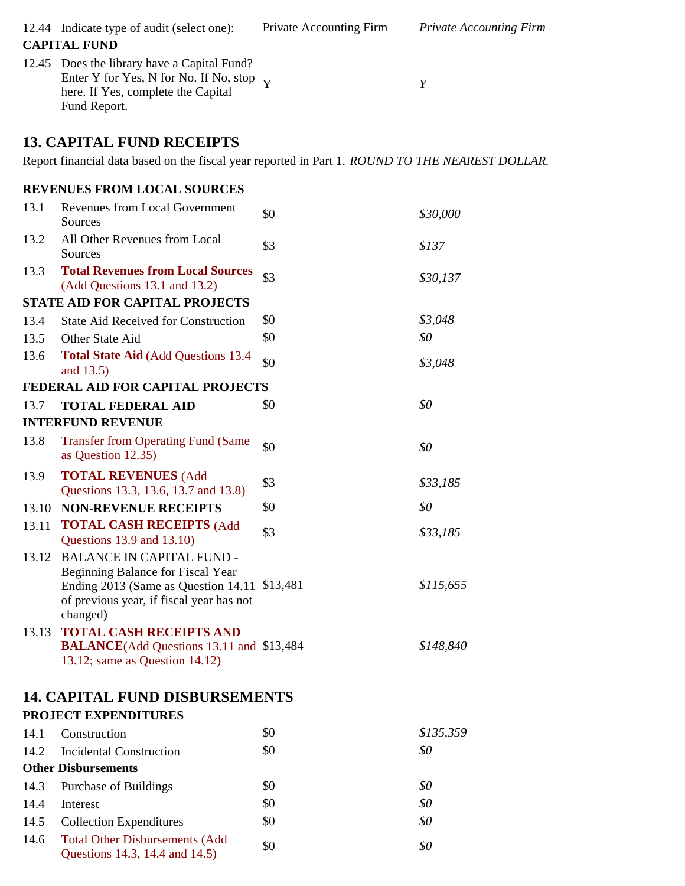|       | 12.44 Indicate type of audit (select one):<br><b>CAPITAL FUND</b>                                                                                                              | <b>Private Accounting Firm</b> | <b>Private Accounting Firm</b> |
|-------|--------------------------------------------------------------------------------------------------------------------------------------------------------------------------------|--------------------------------|--------------------------------|
|       | 12.45 Does the library have a Capital Fund?<br>Enter Y for Yes, N for No. If No, stop<br>here. If Yes, complete the Capital<br>Fund Report.                                    | Y                              | Y                              |
|       | <b>13. CAPITAL FUND RECEIPTS</b>                                                                                                                                               |                                |                                |
|       | Report financial data based on the fiscal year reported in Part 1. <i>ROUND TO THE NEAREST DOLLAR</i> .                                                                        |                                |                                |
|       | <b>REVENUES FROM LOCAL SOURCES</b>                                                                                                                                             |                                |                                |
| 13.1  | <b>Revenues from Local Government</b><br>Sources                                                                                                                               | \$0                            | \$30,000                       |
| 13.2  | All Other Revenues from Local<br>Sources                                                                                                                                       | \$3                            | \$137                          |
| 13.3  | <b>Total Revenues from Local Sources</b><br>(Add Questions 13.1 and 13.2)                                                                                                      | \$3                            | \$30,137                       |
|       | <b>STATE AID FOR CAPITAL PROJECTS</b>                                                                                                                                          |                                |                                |
| 13.4  | <b>State Aid Received for Construction</b>                                                                                                                                     | \$0                            | \$3,048                        |
| 13.5  | Other State Aid                                                                                                                                                                | \$0                            | \$0                            |
| 13.6  | <b>Total State Aid (Add Questions 13.4)</b><br>and 13.5)                                                                                                                       | \$0                            | \$3,048                        |
|       | FEDERAL AID FOR CAPITAL PROJECTS                                                                                                                                               |                                |                                |
| 13.7  | <b>TOTAL FEDERAL AID</b>                                                                                                                                                       | \$0                            | \$0                            |
|       | <b>INTERFUND REVENUE</b>                                                                                                                                                       |                                |                                |
| 13.8  | <b>Transfer from Operating Fund (Same</b><br>as Question 12.35)                                                                                                                | \$0                            | \$0                            |
| 13.9  | <b>TOTAL REVENUES (Add</b><br>Questions 13.3, 13.6, 13.7 and 13.8)                                                                                                             | \$3                            | \$33,185                       |
|       | 13.10 NON-REVENUE RECEIPTS                                                                                                                                                     | \$0                            | \$0                            |
|       | 13.11 TOTAL CASH RECEIPTS (Add<br>Questions 13.9 and 13.10)                                                                                                                    | \$3                            | \$33,185                       |
| 13.12 | <b>BALANCE IN CAPITAL FUND -</b><br>Beginning Balance for Fiscal Year<br>Ending 2013 (Same as Question 14.11 \$13,481)<br>of previous year, if fiscal year has not<br>changed) |                                | \$115,655                      |
| 13.13 | <b>TOTAL CASH RECEIPTS AND</b><br><b>BALANCE</b> (Add Questions 13.11 and \$13,484<br>13.12; same as Question 14.12)                                                           |                                | \$148,840                      |
|       | <b>14. CAPITAL FUND DISBURSEMENTS</b><br><b>PROJECT EXPENDITURES</b>                                                                                                           |                                |                                |
| 14.1  |                                                                                                                                                                                | \$0                            | \$135,359                      |
|       | Construction                                                                                                                                                                   | \$0                            | \$0                            |
| 14.2  | <b>Incidental Construction</b><br><b>Other Disbursements</b>                                                                                                                   |                                |                                |
|       |                                                                                                                                                                                |                                |                                |
| 14.3  | <b>Purchase of Buildings</b>                                                                                                                                                   | \$0                            | \$0                            |
| 14.4  | Interest                                                                                                                                                                       | \$0                            | \$0                            |
| 14.5  | <b>Collection Expenditures</b>                                                                                                                                                 | \$0                            | \$0                            |
| 14.6  | <b>Total Other Disbursements (Add</b><br>Questions 14.3, 14.4 and 14.5)                                                                                                        | \$0                            | \$0                            |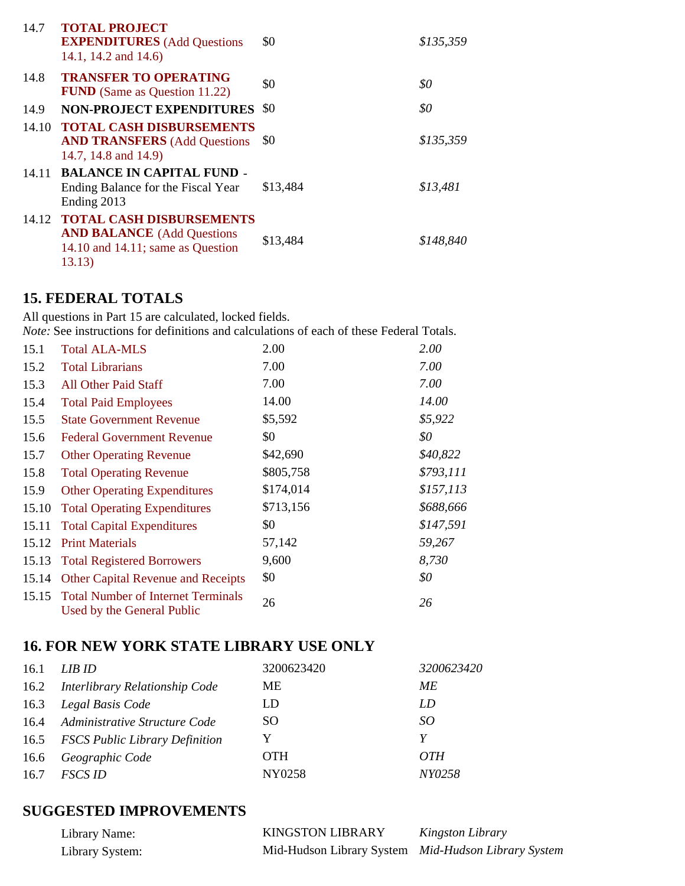| 14.7 | <b>TOTAL PROJECT</b><br><b>EXPENDITURES</b> (Add Questions<br>14.1, 14.2 and 14.6)                                 | \$0      | \$135,359 |
|------|--------------------------------------------------------------------------------------------------------------------|----------|-----------|
| 14.8 | <b>TRANSFER TO OPERATING</b><br><b>FUND</b> (Same as Question 11.22)                                               | \$0      | \$0       |
| 14.9 | <b>NON-PROJECT EXPENDITURES</b>                                                                                    | -80      | \$0       |
|      | 14.10 TOTAL CASH DISBURSEMENTS<br><b>AND TRANSFERS</b> (Add Questions<br>14.7, 14.8 and 14.9)                      | \$0      | \$135,359 |
|      | 14.11 BALANCE IN CAPITAL FUND -<br>Ending Balance for the Fiscal Year<br>Ending 2013                               | \$13,484 | \$13,481  |
|      | 14.12 TOTAL CASH DISBURSEMENTS<br><b>AND BALANCE</b> (Add Questions<br>14.10 and 14.11; same as Question<br>13.13) | \$13,484 | \$148,840 |

## **15. FEDERAL TOTALS**

All questions in Part 15 are calculated, locked fields. *Note:* See instructions for definitions and calculations of each of these Federal Totals. 15.1 2.00 Total ALA-MLS *2.00*

| 15.2  | <b>Total Librarians</b>                                                | 7.00      | 7.00      |
|-------|------------------------------------------------------------------------|-----------|-----------|
| 15.3  | All Other Paid Staff                                                   | 7.00      | 7.00      |
| 15.4  | <b>Total Paid Employees</b>                                            | 14.00     | 14.00     |
| 15.5  | <b>State Government Revenue</b>                                        | \$5,592   | \$5,922   |
| 15.6  | <b>Federal Government Revenue</b>                                      | \$0       | \$0       |
| 15.7  | <b>Other Operating Revenue</b>                                         | \$42,690  | \$40,822  |
| 15.8  | <b>Total Operating Revenue</b>                                         | \$805,758 | \$793,111 |
| 15.9  | <b>Other Operating Expenditures</b>                                    | \$174,014 | \$157,113 |
| 15.10 | <b>Total Operating Expenditures</b>                                    | \$713,156 | \$688,666 |
| 15.11 | <b>Total Capital Expenditures</b>                                      | \$0       | \$147,591 |
|       | 15.12 Print Materials                                                  | 57,142    | 59,267    |
|       | 15.13 Total Registered Borrowers                                       | 9,600     | 8,730     |
|       | 15.14 Other Capital Revenue and Receipts                               | \$0       | \$0       |
|       | 15.15 Total Number of Internet Terminals<br>Used by the General Public | 26        | 26        |

# **16. FOR NEW YORK STATE LIBRARY USE ONLY**

| 16.1 | LIB ID                              | 3200623420 | 3200623420 |
|------|-------------------------------------|------------|------------|
|      | 16.2 Interlibrary Relationship Code | ME.        | МE         |
| 16.3 | Legal Basis Code                    | LD         | LD         |
|      | 16.4 Administrative Structure Code  | <b>SO</b>  | SO.        |
|      | 16.5 FSCS Public Library Definition | Y          |            |
| 16.6 | Geographic Code                     | <b>OTH</b> | <i>OTH</i> |
| 16.7 | <i>FSCS ID</i>                      | NY0258     | NY0258     |
|      |                                     |            |            |

# **SUGGESTED IMPROVEMENTS**

| Library Name:   | <b>KINGSTON LIBRARY</b>                             | Kingston Library |
|-----------------|-----------------------------------------------------|------------------|
| Library System: | Mid-Hudson Library System Mid-Hudson Library System |                  |